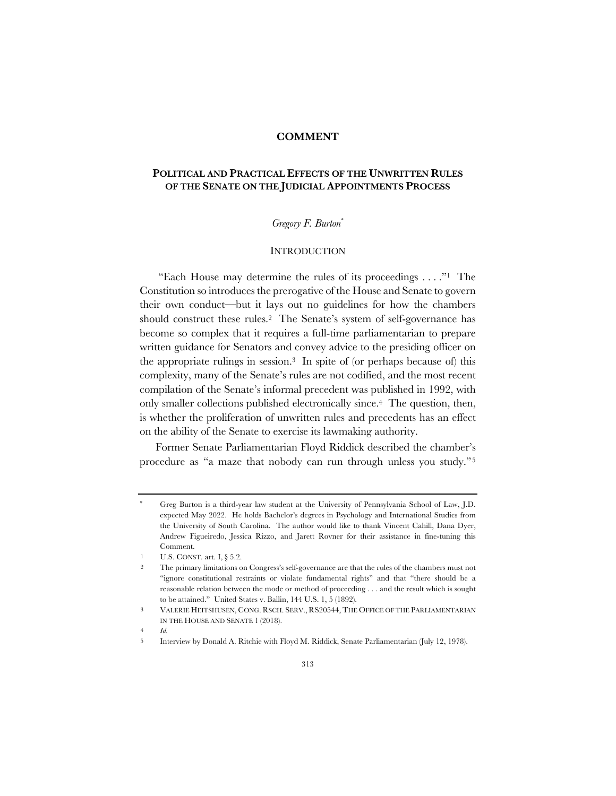#### **COMMENT**

# **POLITICAL AND PRACTICAL EFFECTS OF THE UNWRITTEN RULES OF THE SENATE ON THE JUDICIAL APPOINTMENTS PROCESS**

# *Gregory F. Burton*\*

# **INTRODUCTION**

"Each House may determine the rules of its proceedings  $\dots$ ." The Constitution so introduces the prerogative of the House and Senate to govern their own conduct—but it lays out no guidelines for how the chambers should construct these rules.2 The Senate's system of self-governance has become so complex that it requires a full-time parliamentarian to prepare written guidance for Senators and convey advice to the presiding officer on the appropriate rulings in session.3 In spite of (or perhaps because of) this complexity, many of the Senate's rules are not codified, and the most recent compilation of the Senate's informal precedent was published in 1992, with only smaller collections published electronically since.4 The question, then, is whether the proliferation of unwritten rules and precedents has an effect on the ability of the Senate to exercise its lawmaking authority.

Former Senate Parliamentarian Floyd Riddick described the chamber's procedure as "a maze that nobody can run through unless you study."5

Greg Burton is a third-year law student at the University of Pennsylvania School of Law, J.D. expected May 2022. He holds Bachelor's degrees in Psychology and International Studies from the University of South Carolina. The author would like to thank Vincent Cahill, Dana Dyer, Andrew Figueiredo, Jessica Rizzo, and Jarett Rovner for their assistance in fine-tuning this Comment.

U.S. CONST. art. I, § 5.2.

<sup>2</sup> The primary limitations on Congress's self-governance are that the rules of the chambers must not "ignore constitutional restraints or violate fundamental rights" and that "there should be a reasonable relation between the mode or method of proceeding . . . and the result which is sought to be attained." United States v. Ballin, 144 U.S. 1, 5 (1892).

<sup>3</sup> VALERIE HEITSHUSEN, CONG. RSCH. SERV., RS20544, THE OFFICE OF THE PARLIAMENTARIAN IN THE HOUSE AND SENATE 1 (2018).

<sup>4</sup> *Id.*

<sup>5</sup> Interview by Donald A. Ritchie with Floyd M. Riddick, Senate Parliamentarian (July 12, 1978).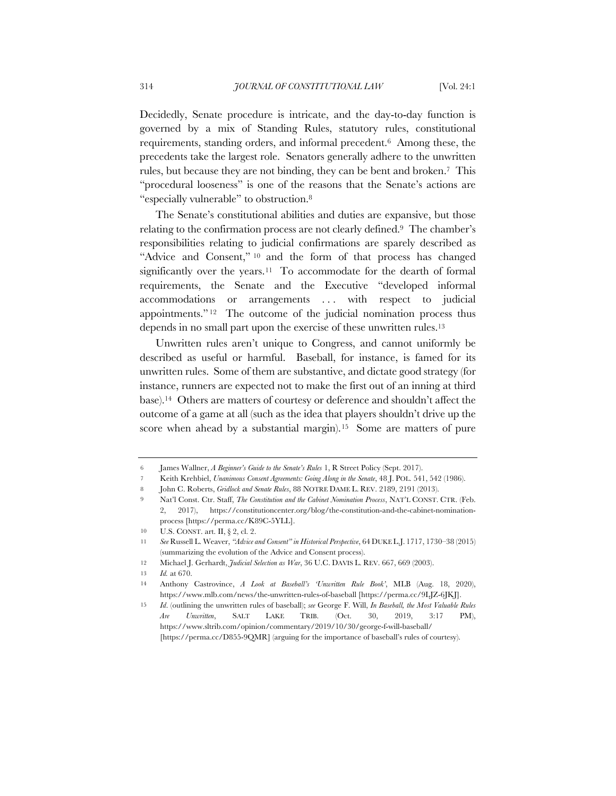Decidedly, Senate procedure is intricate, and the day-to-day function is governed by a mix of Standing Rules, statutory rules, constitutional requirements, standing orders, and informal precedent.6 Among these, the precedents take the largest role. Senators generally adhere to the unwritten rules, but because they are not binding, they can be bent and broken.7 This "procedural looseness" is one of the reasons that the Senate's actions are "especially vulnerable" to obstruction.8

The Senate's constitutional abilities and duties are expansive, but those relating to the confirmation process are not clearly defined.9 The chamber's responsibilities relating to judicial confirmations are sparely described as "Advice and Consent," <sup>10</sup> and the form of that process has changed significantly over the years.<sup>11</sup> To accommodate for the dearth of formal requirements, the Senate and the Executive "developed informal accommodations or arrangements ... with respect to judicial appointments." 12 The outcome of the judicial nomination process thus depends in no small part upon the exercise of these unwritten rules.13

Unwritten rules aren't unique to Congress, and cannot uniformly be described as useful or harmful. Baseball, for instance, is famed for its unwritten rules. Some of them are substantive, and dictate good strategy (for instance, runners are expected not to make the first out of an inning at third base).14 Others are matters of courtesy or deference and shouldn't affect the outcome of a game at all (such as the idea that players shouldn't drive up the score when ahead by a substantial margin).<sup>15</sup> Some are matters of pure

7 Keith Krehbiel, *Unanimous Consent Agreements: Going Along in the Senate*, 48 J. POL. 541, 542 (1986).

<sup>6</sup> James Wallner, *A Beginner's Guide to the Senate's Rules* 1, R Street Policy (Sept. 2017).

<sup>8</sup> John C. Roberts, *Gridlock and Senate Rules*, 88 NOTRE DAME L. REV. 2189, 2191 (2013).

<sup>9</sup> Nat'l Const. Ctr. Staff, *The Constitution and the Cabinet Nomination Process*, NAT'L CONST. CTR. (Feb. 2, 2017), https://constitutioncenter.org/blog/the-constitution-and-the-cabinet-nominationprocess [https://perma.cc/K89C-5YLL].

<sup>10</sup> U.S. CONST. art. II, § 2, cl. 2.

<sup>11</sup> *See* Russell L. Weaver, *"Advice and Consent" in Historical Perspective*, 64 DUKE L.J. 1717, 1730–38 (2015) (summarizing the evolution of the Advice and Consent process).

<sup>12</sup> Michael J. Gerhardt, *Judicial Selection as War*, 36 U.C. DAVIS L. REV. 667, 669 (2003).

<sup>13</sup> *Id.* at 670.

<sup>14</sup> Anthony Castrovince, *A Look at Baseball's 'Unwritten Rule Book'*, MLB (Aug. 18, 2020), https://www.mlb.com/news/the-unwritten-rules-of-baseball [https://perma.cc/9LJZ-6JKJ].

<sup>15</sup> *Id*. (outlining the unwritten rules of baseball); *see* George F. Will, *In Baseball, the Most Valuable Rules Are Unwritten*, SALT LAKE TRIB. (Oct. 30, 2019, 3:17 PM), https://www.sltrib.com/opinion/commentary/2019/10/30/george-f-will-baseball/ [https://perma.cc/D855-9QMR] (arguing for the importance of baseball's rules of courtesy).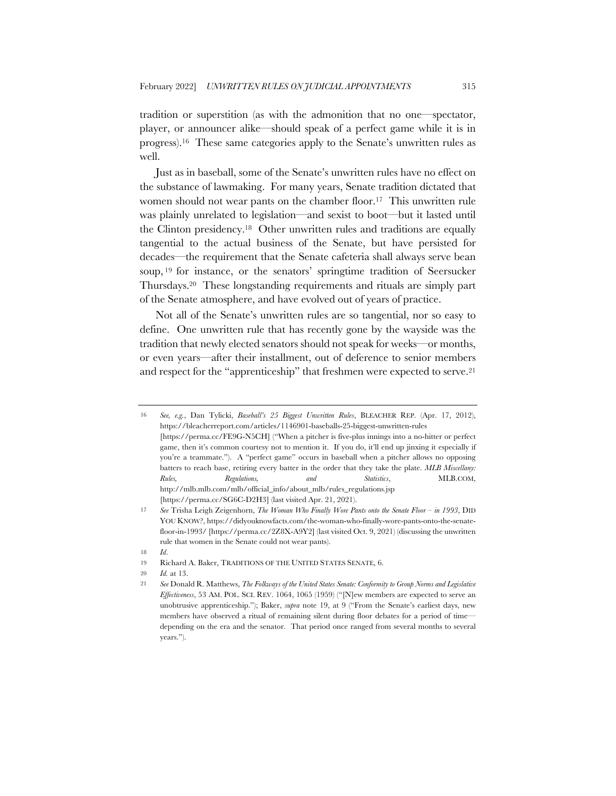tradition or superstition (as with the admonition that no one—spectator, player, or announcer alike—should speak of a perfect game while it is in progress).16 These same categories apply to the Senate's unwritten rules as well.

Just as in baseball, some of the Senate's unwritten rules have no effect on the substance of lawmaking. For many years, Senate tradition dictated that women should not wear pants on the chamber floor.17 This unwritten rule was plainly unrelated to legislation—and sexist to boot—but it lasted until the Clinton presidency.18 Other unwritten rules and traditions are equally tangential to the actual business of the Senate, but have persisted for decades—the requirement that the Senate cafeteria shall always serve bean soup, <sup>19</sup> for instance, or the senators' springtime tradition of Seersucker Thursdays.20 These longstanding requirements and rituals are simply part of the Senate atmosphere, and have evolved out of years of practice.

Not all of the Senate's unwritten rules are so tangential, nor so easy to define. One unwritten rule that has recently gone by the wayside was the tradition that newly elected senators should not speak for weeks—or months, or even years—after their installment, out of deference to senior members and respect for the "apprenticeship" that freshmen were expected to serve.<sup>21</sup>

<sup>16</sup> *See, e.g.*, Dan Tylicki, *Baseball's 25 Biggest Unwritten Rules*, BLEACHER REP. (Apr. 17, 2012), https://bleacherreport.com/articles/1146901-baseballs-25-biggest-unwritten-rules [https://perma.cc/FE9G-N5CH] ("When a pitcher is five-plus innings into a no-hitter or perfect game, then it's common courtesy not to mention it. If you do, it'll end up jinxing it especially if you're a teammate."). A "perfect game" occurs in baseball when a pitcher allows no opposing batters to reach base, retiring every batter in the order that they take the plate. *MLB Miscellany: Rules, Regulations, and Statistics*, MLB.COM, http://mlb.mlb.com/mlb/official\_info/about\_mlb/rules\_regulations.jsp [https://perma.cc/SG6C-D2H3] (last visited Apr. 21, 2021).

<sup>17</sup> *See* Trisha Leigh Zeigenhorn, *The Woman Who Finally Wore Pants onto the Senate Floor – in 1993*, DID YOU KNOW?, https://didyouknowfacts.com/the-woman-who-finally-wore-pants-onto-the-senatefloor-in-1993/ [https://perma.cc/2Z8X-A9Y2] (last visited Oct. 9, 2021) (discussing the unwritten rule that women in the Senate could not wear pants).

<sup>18</sup> *Id*.

<sup>19</sup> Richard A. Baker, TRADITIONS OF THE UNITED STATES SENATE, 6.

<sup>20</sup> *Id.* at 13.

<sup>21</sup> *See* Donald R. Matthews, *The Folkways of the United States Senate: Conformity to Group Norms and Legislative Effectiveness*, 53 AM. POL. SCI. REV. 1064, 1065 (1959) ("[N]ew members are expected to serve an unobtrusive apprenticeship."); Baker, *supra* note 19, at 9 ("From the Senate's earliest days, new members have observed a ritual of remaining silent during floor debates for a period of time depending on the era and the senator. That period once ranged from several months to several years.").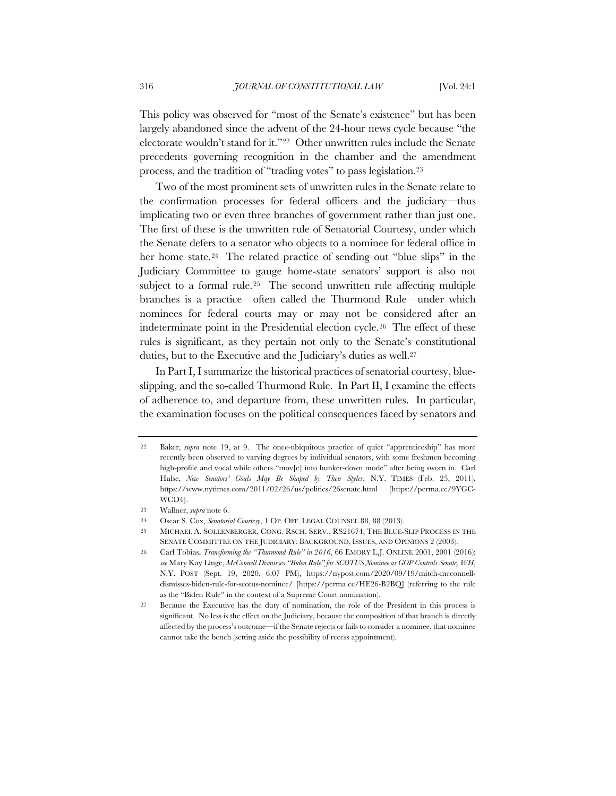This policy was observed for "most of the Senate's existence" but has been largely abandoned since the advent of the 24-hour news cycle because "the electorate wouldn't stand for it."22 Other unwritten rules include the Senate precedents governing recognition in the chamber and the amendment process, and the tradition of "trading votes" to pass legislation.23

Two of the most prominent sets of unwritten rules in the Senate relate to the confirmation processes for federal officers and the judiciary—thus implicating two or even three branches of government rather than just one. The first of these is the unwritten rule of Senatorial Courtesy, under which the Senate defers to a senator who objects to a nominee for federal office in her home state.<sup>24</sup> The related practice of sending out "blue slips" in the Judiciary Committee to gauge home-state senators' support is also not subject to a formal rule.<sup>25</sup> The second unwritten rule affecting multiple branches is a practice—often called the Thurmond Rule—under which nominees for federal courts may or may not be considered after an indeterminate point in the Presidential election cycle.26 The effect of these rules is significant, as they pertain not only to the Senate's constitutional duties, but to the Executive and the Judiciary's duties as well.<sup>27</sup>

In Part I, I summarize the historical practices of senatorial courtesy, blueslipping, and the so-called Thurmond Rule. In Part II, I examine the effects of adherence to, and departure from, these unwritten rules. In particular, the examination focuses on the political consequences faced by senators and

<sup>22</sup> Baker, *supra* note 19, at 9. The once-ubiquitous practice of quiet "apprenticeship" has more recently been observed to varying degrees by individual senators, with some freshmen becoming high-profile and vocal while others "mov[e] into hunker-down mode" after being sworn in. Carl Hulse, *New Senators' Goals May Be Shaped by Their Styles*, N.Y. TIMES (Feb. 25, 2011), https://www.nytimes.com/2011/02/26/us/politics/26senate.html [https://perma.cc/9YGC-WCD4].

<sup>23</sup> Wallner, *supra* note 6.

<sup>24</sup> Oscar S. Cox, *Senatorial Courtesy*, 1 OP. OFF. LEGAL COUNSEL 88, 88 (2013).

<sup>25</sup> MICHAEL A. SOLLENBERGER, CONG. RSCH. SERV., RS21674, THE BLUE-SLIP PROCESS IN THE SENATE COMMITTEE ON THE JUDICIARY: BACKGROUND, ISSUES, AND OPINIONS 2 (2003).

<sup>26</sup> Carl Tobias, *Transforming the "Thurmond Rule" in 2016*, 66 EMORY L.J. ONLINE 2001, 2001 (2016); *see* Mary Kay Linge, *McConnell Dismisses "Biden Rule" for SCOTUS Nominee as GOP Controls Senate, WH*, N.Y. POST (Sept. 19, 2020, 6:07 PM), https://nypost.com/2020/09/19/mitch-mcconnelldismisses-biden-rule-for-scotus-nominee/ [https://perma.cc/HE26-B2BQ] (referring to the rule as the "Biden Rule" in the context of a Supreme Court nomination).

<sup>27</sup> Because the Executive has the duty of nomination, the role of the President in this process is significant. No less is the effect on the Judiciary, because the composition of that branch is directly affected by the process's outcome—if the Senate rejects or fails to consider a nominee, that nominee cannot take the bench (setting aside the possibility of recess appointment).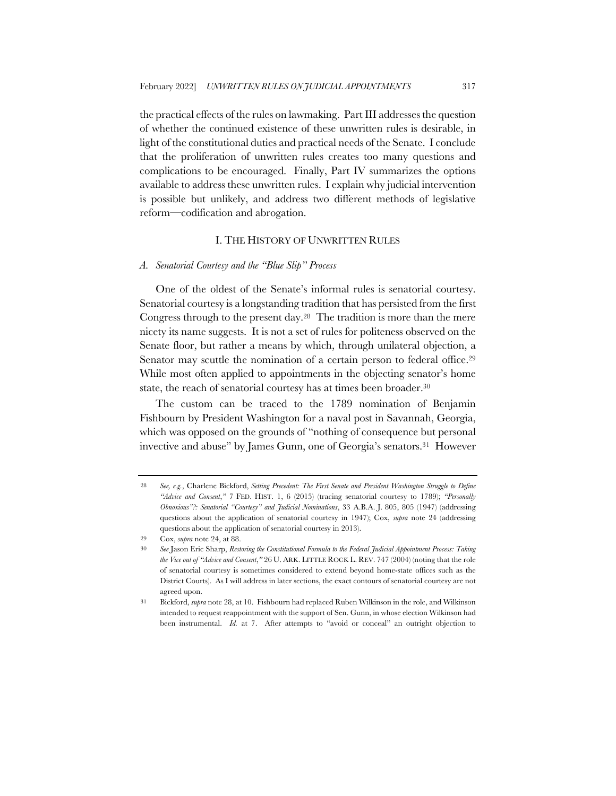the practical effects of the rules on lawmaking. Part III addresses the question of whether the continued existence of these unwritten rules is desirable, in light of the constitutional duties and practical needs of the Senate. I conclude that the proliferation of unwritten rules creates too many questions and complications to be encouraged. Finally, Part IV summarizes the options available to address these unwritten rules. I explain why judicial intervention is possible but unlikely, and address two different methods of legislative reform—codification and abrogation.

# I. THE HISTORY OF UNWRITTEN RULES

# *A. Senatorial Courtesy and the "Blue Slip" Process*

One of the oldest of the Senate's informal rules is senatorial courtesy. Senatorial courtesy is a longstanding tradition that has persisted from the first Congress through to the present day.28 The tradition is more than the mere nicety its name suggests. It is not a set of rules for politeness observed on the Senate floor, but rather a means by which, through unilateral objection, a Senator may scuttle the nomination of a certain person to federal office.<sup>29</sup> While most often applied to appointments in the objecting senator's home state, the reach of senatorial courtesy has at times been broader.<sup>30</sup>

The custom can be traced to the 1789 nomination of Benjamin Fishbourn by President Washington for a naval post in Savannah, Georgia, which was opposed on the grounds of "nothing of consequence but personal invective and abuse" by James Gunn, one of Georgia's senators.31 However

<sup>28</sup> *See, e.g.*, Charlene Bickford, *Setting Precedent: The First Senate and President Washington Struggle to Define "Advice and Consent*,*"* 7 FED. HIST. 1, 6 (2015) (tracing senatorial courtesy to 1789); *"Personally Obnoxious"?: Senatorial "Courtesy" and Judicial Nominations*, 33 A.B.A. J. 805, 805 (1947) (addressing questions about the application of senatorial courtesy in 1947); Cox, *supra* note 24 (addressing questions about the application of senatorial courtesy in 2013).

<sup>29</sup> Cox, *supra* note 24, at 88.

<sup>30</sup> *See* Jason Eric Sharp, *Restoring the Constitutional Formula to the Federal Judicial Appointment Process: Taking the Vice out of "Advice and Consent*,*"* 26 U. ARK. LITTLE ROCK L. REV. 747 (2004) (noting that the role of senatorial courtesy is sometimes considered to extend beyond home-state offices such as the District Courts). As I will address in later sections, the exact contours of senatorial courtesy are not agreed upon.

<sup>31</sup> Bickford, *supra* note 28, at 10. Fishbourn had replaced Ruben Wilkinson in the role, and Wilkinson intended to request reappointment with the support of Sen. Gunn, in whose election Wilkinson had been instrumental. *Id.* at 7. After attempts to "avoid or conceal" an outright objection to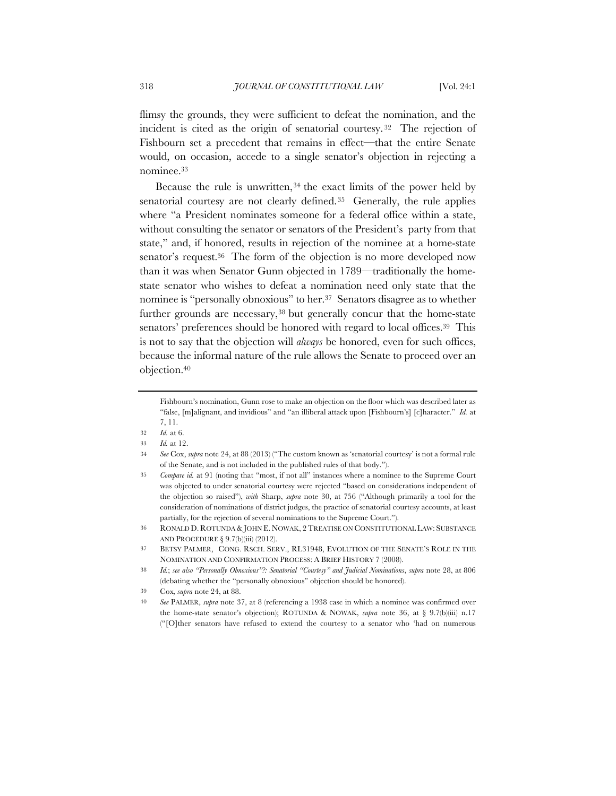flimsy the grounds, they were sufficient to defeat the nomination, and the incident is cited as the origin of senatorial courtesy. 32 The rejection of Fishbourn set a precedent that remains in effect—that the entire Senate would, on occasion, accede to a single senator's objection in rejecting a nominee.33

Because the rule is unwritten,34 the exact limits of the power held by senatorial courtesy are not clearly defined.35 Generally, the rule applies where "a President nominates someone for a federal office within a state, without consulting the senator or senators of the President's party from that state," and, if honored, results in rejection of the nominee at a home-state senator's request.36 The form of the objection is no more developed now than it was when Senator Gunn objected in 1789—traditionally the homestate senator who wishes to defeat a nomination need only state that the nominee is "personally obnoxious" to her.37 Senators disagree as to whether further grounds are necessary,38 but generally concur that the home-state senators' preferences should be honored with regard to local offices.<sup>39</sup> This is not to say that the objection will *always* be honored, even for such offices, because the informal nature of the rule allows the Senate to proceed over an objection.40

Fishbourn's nomination, Gunn rose to make an objection on the floor which was described later as "false, [m]alignant, and invidious" and "an illiberal attack upon [Fishbourn's] [c]haracter." *Id.* at 7, 11.

<sup>32</sup> *Id.* at 6.

<sup>33</sup> *Id.* at 12.

<sup>34</sup> *See* Cox, *supra* note 24, at 88 (2013) ("The custom known as 'senatorial courtesy' is not a formal rule of the Senate, and is not included in the published rules of that body.").

<sup>35</sup> *Compare id.* at 91 (noting that "most, if not all" instances where a nominee to the Supreme Court was objected to under senatorial courtesy were rejected "based on considerations independent of the objection so raised"), *with* Sharp, *supra* note 30, at 756 ("Although primarily a tool for the consideration of nominations of district judges, the practice of senatorial courtesy accounts, at least partially, for the rejection of several nominations to the Supreme Court.").

<sup>36</sup> RONALD D. ROTUNDA & JOHN E. NOWAK, 2TREATISE ON CONSTITUTIONAL LAW: SUBSTANCE AND PROCEDURE § 9.7(b)(iii) (2012).

<sup>37</sup> BETSY PALMER, CONG. RSCH. SERV., RL31948, EVOLUTION OF THE SENATE'S ROLE IN THE NOMINATION AND CONFIRMATION PROCESS: A BRIEF HISTORY 7 (2008).

<sup>38</sup> *Id.*; *see also "Personally Obnoxious"?: Senatorial "Courtesy" and Judicial Nominations*, *supra* note 28, at 806 (debating whether the "personally obnoxious" objection should be honored).

<sup>39</sup> Cox*, supra* note 24, at 88.

<sup>40</sup> *See* PALMER, *supra* note 37, at 8 (referencing a 1938 case in which a nominee was confirmed over the home-state senator's objection); ROTUNDA & NOWAK, *supra* note 36, at § 9.7(b)(iii) n.17 ("[O]ther senators have refused to extend the courtesy to a senator who 'had on numerous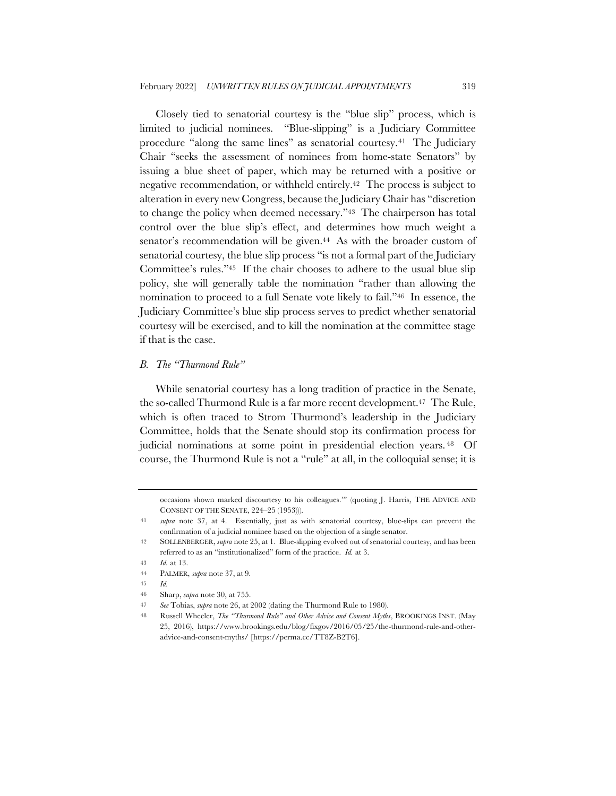Closely tied to senatorial courtesy is the "blue slip" process, which is limited to judicial nominees. "Blue-slipping" is a Judiciary Committee procedure "along the same lines" as senatorial courtesy.41 The Judiciary Chair "seeks the assessment of nominees from home-state Senators" by issuing a blue sheet of paper, which may be returned with a positive or negative recommendation, or withheld entirely.42 The process is subject to alteration in every new Congress, because the Judiciary Chair has "discretion to change the policy when deemed necessary."43 The chairperson has total control over the blue slip's effect, and determines how much weight a senator's recommendation will be given.<sup>44</sup> As with the broader custom of senatorial courtesy, the blue slip process "is not a formal part of the Judiciary Committee's rules."45 If the chair chooses to adhere to the usual blue slip policy, she will generally table the nomination "rather than allowing the nomination to proceed to a full Senate vote likely to fail."46 In essence, the Judiciary Committee's blue slip process serves to predict whether senatorial courtesy will be exercised, and to kill the nomination at the committee stage if that is the case.

### *B. The "Thurmond Rule"*

While senatorial courtesy has a long tradition of practice in the Senate, the so-called Thurmond Rule is a far more recent development.47 The Rule, which is often traced to Strom Thurmond's leadership in the Judiciary Committee, holds that the Senate should stop its confirmation process for judicial nominations at some point in presidential election years. 48 Of course, the Thurmond Rule is not a "rule" at all, in the colloquial sense; it is

occasions shown marked discourtesy to his colleagues.'" (quoting J. Harris, THE ADVICE AND CONSENT OF THE SENATE, 224–25 (1953))).

<sup>41</sup> *supra* note 37, at 4. Essentially, just as with senatorial courtesy, blue-slips can prevent the confirmation of a judicial nominee based on the objection of a single senator.

<sup>42</sup> SOLLENBERGER, *supra* note 25, at 1. Blue-slipping evolved out of senatorial courtesy, and has been referred to as an "institutionalized" form of the practice. *Id.* at 3.

<sup>43</sup> *Id.* at 13.

<sup>44</sup> PALMER, *supra* note 37, at 9.

<sup>45</sup> *Id.*

<sup>46</sup> Sharp, *supra* note 30, at 755.

<sup>47</sup> *See* Tobias, *supra* note 26, at 2002 (dating the Thurmond Rule to 1980).

<sup>48</sup> Russell Wheeler, *The "Thurmond Rule" and Other Advice and Consent Myths*, BROOKINGS INST. (May 25, 2016), https://www.brookings.edu/blog/fixgov/2016/05/25/the-thurmond-rule-and-otheradvice-and-consent-myths/ [https://perma.cc/TT8Z-B2T6].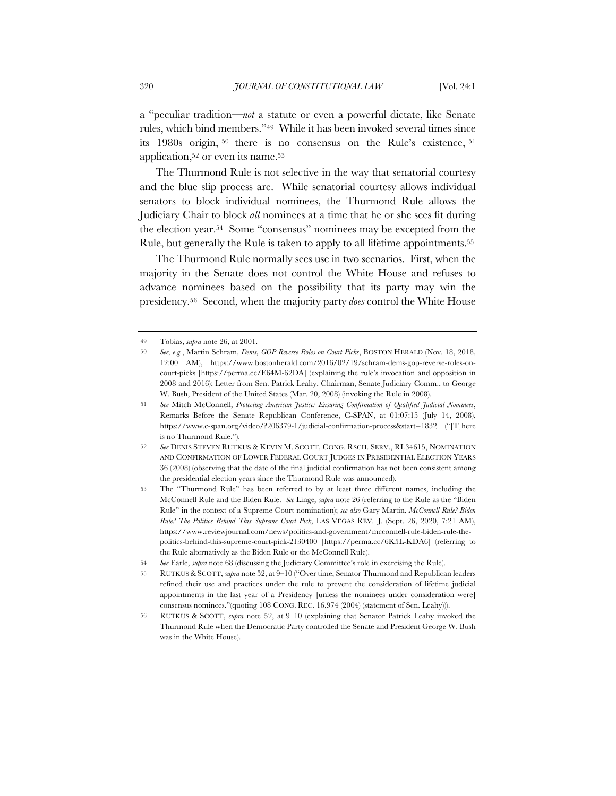a "peculiar tradition—*not* a statute or even a powerful dictate, like Senate rules, which bind members."49 While it has been invoked several times since its 1980s origin, <sup>50</sup> there is no consensus on the Rule's existence, <sup>51</sup> application,52 or even its name.53

The Thurmond Rule is not selective in the way that senatorial courtesy and the blue slip process are. While senatorial courtesy allows individual senators to block individual nominees, the Thurmond Rule allows the Judiciary Chair to block *all* nominees at a time that he or she sees fit during the election year.54 Some "consensus" nominees may be excepted from the Rule, but generally the Rule is taken to apply to all lifetime appointments.55

The Thurmond Rule normally sees use in two scenarios. First, when the majority in the Senate does not control the White House and refuses to advance nominees based on the possibility that its party may win the presidency.56 Second, when the majority party *does* control the White House

<sup>49</sup> Tobias, *supra* note 26, at 2001.

<sup>50</sup> *See, e.g.*, Martin Schram, *Dems, GOP Reverse Roles on Court Picks*, BOSTON HERALD (Nov. 18, 2018, 12:00 AM), https://www.bostonherald.com/2016/02/19/schram-dems-gop-reverse-roles-oncourt-picks [https://perma.cc/E64M-62DA] (explaining the rule's invocation and opposition in 2008 and 2016); Letter from Sen. Patrick Leahy, Chairman, Senate Judiciary Comm., to George W. Bush, President of the United States (Mar. 20, 2008) (invoking the Rule in 2008).

<sup>51</sup> *See* Mitch McConnell, *Protecting American Justice: Ensuring Confirmation of Qualified Judicial Nominees*, Remarks Before the Senate Republican Conference, C-SPAN, at 01:07:15 (July 14, 2008), https://www.c-span.org/video/?206379-1/judicial-confirmation-process&start=1832 ("[T]here is no Thurmond Rule.").

<sup>52</sup> *See* DENIS STEVEN RUTKUS & KEVIN M. SCOTT, CONG. RSCH. SERV., RL34615, NOMINATION AND CONFIRMATION OF LOWER FEDERAL COURT JUDGES IN PRESIDENTIAL ELECTION YEARS 36 (2008) (observing that the date of the final judicial confirmation has not been consistent among the presidential election years since the Thurmond Rule was announced).

<sup>53</sup> The "Thurmond Rule" has been referred to by at least three different names, including the McConnell Rule and the Biden Rule. *See* Linge*, supra* note 26 (referring to the Rule as the "Biden Rule" in the context of a Supreme Court nomination); *see also* Gary Martin, *McConnell Rule? Biden Rule? The Politics Behind This Supreme Court Pick*, LAS VEGAS REV.–J. (Sept. 26, 2020, 7:21 AM), https://www.reviewjournal.com/news/politics-and-government/mcconnell-rule-biden-rule-thepolitics-behind-this-supreme-court-pick-2130400 [https://perma.cc/6K5L-KDA6] (referring to the Rule alternatively as the Biden Rule or the McConnell Rule).

<sup>54</sup> *See* Earle, *supra* note 68 (discussing the Judiciary Committee's role in exercising the Rule).

<sup>55</sup> RUTKUS &SCOTT, *supra* note 52, at 9–10 ("Over time, Senator Thurmond and Republican leaders refined their use and practices under the rule to prevent the consideration of lifetime judicial appointments in the last year of a Presidency [unless the nominees under consideration were] consensus nominees."(quoting 108 CONG. REC. 16,974 (2004) (statement of Sen. Leahy))).

<sup>56</sup> RUTKUS & SCOTT, *supra* note 52, at 9–10 (explaining that Senator Patrick Leahy invoked the Thurmond Rule when the Democratic Party controlled the Senate and President George W. Bush was in the White House).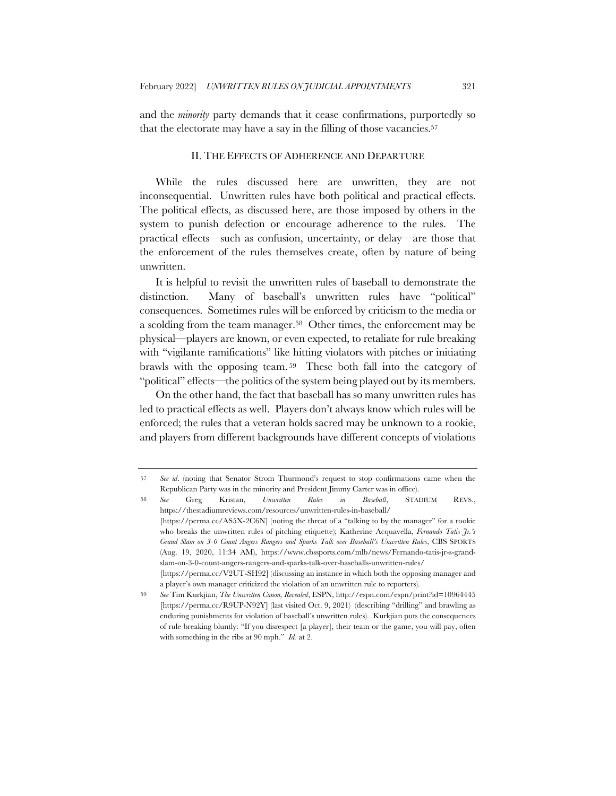and the *minority* party demands that it cease confirmations, purportedly so that the electorate may have a say in the filling of those vacancies.57

### II. THE EFFECTS OF ADHERENCE AND DEPARTURE

While the rules discussed here are unwritten, they are not inconsequential. Unwritten rules have both political and practical effects. The political effects, as discussed here, are those imposed by others in the system to punish defection or encourage adherence to the rules. The practical effects—such as confusion, uncertainty, or delay—are those that the enforcement of the rules themselves create, often by nature of being unwritten.

It is helpful to revisit the unwritten rules of baseball to demonstrate the distinction. Many of baseball's unwritten rules have "political" consequences. Sometimes rules will be enforced by criticism to the media or a scolding from the team manager.58 Other times, the enforcement may be physical—players are known, or even expected, to retaliate for rule breaking with "vigilante ramifications" like hitting violators with pitches or initiating brawls with the opposing team. 59 These both fall into the category of "political" effects—the politics of the system being played out by its members.

On the other hand, the fact that baseball has so many unwritten rules has led to practical effects as well. Players don't always know which rules will be enforced; the rules that a veteran holds sacred may be unknown to a rookie, and players from different backgrounds have different concepts of violations

<sup>57</sup> *See id*. (noting that Senator Strom Thurmond's request to stop confirmations came when the Republican Party was in the minority and President Jimmy Carter was in office).

<sup>58</sup> *See* Greg Kristan, *Unwritten Rules in Baseball*, STADIUM REVS., https://thestadiumreviews.com/resources/unwritten-rules-in-baseball/ [https://perma.cc/AS5X-2C6N] (noting the threat of a "talking to by the manager" for a rookie who breaks the unwritten rules of pitching etiquette); Katherine Acquavella, *Fernando Tatis Jr.'s Grand Slam on 3-0 Count Angers Rangers and Sparks Talk over Baseball's Unwritten Rules*, CBS SPORTS (Aug. 19, 2020, 11:34 AM), https://www.cbssports.com/mlb/news/Fernando-tatis-jr-s-grandslam-on-3-0-count-angers-rangers-and-sparks-talk-over-baseballs-unwritten-rules/ [https://perma.cc/V2UT-SH92] (discussing an instance in which both the opposing manager and

a player's own manager criticized the violation of an unwritten rule to reporters).

<sup>59</sup> *See* Tim Kurkjian, *The Unwritten Canon, Revealed*, ESPN, http://espn.com/espn/print?id=10964445 [https://perma.cc/R9UP-N92Y] (last visited Oct. 9, 2021) (describing "drilling" and brawling as enduring punishments for violation of baseball's unwritten rules). Kurkjian puts the consequences of rule breaking bluntly: "If you disrespect [a player], their team or the game, you will pay, often with something in the ribs at 90 mph." *Id.* at 2.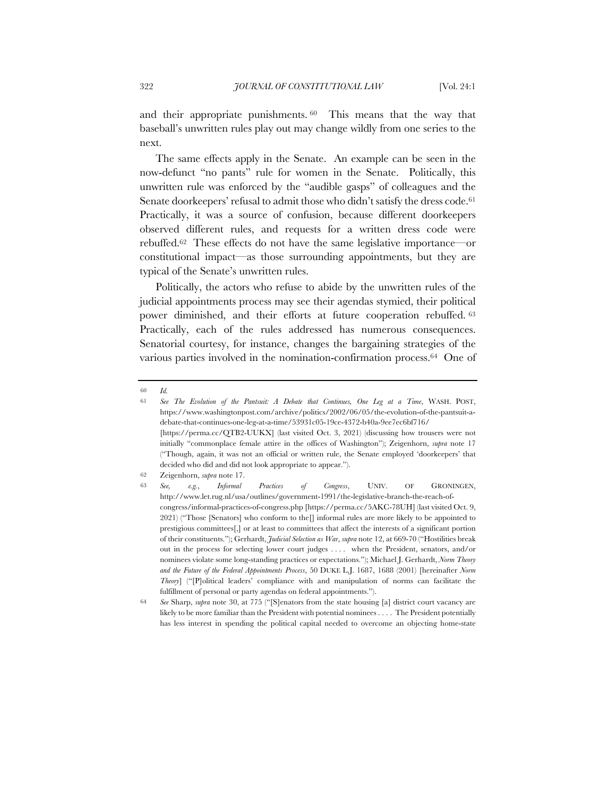and their appropriate punishments. 60 This means that the way that baseball's unwritten rules play out may change wildly from one series to the next.

The same effects apply in the Senate. An example can be seen in the now-defunct "no pants" rule for women in the Senate. Politically, this unwritten rule was enforced by the "audible gasps" of colleagues and the Senate doorkeepers' refusal to admit those who didn't satisfy the dress code.<sup>61</sup> Practically, it was a source of confusion, because different doorkeepers observed different rules, and requests for a written dress code were rebuffed.62 These effects do not have the same legislative importance—or constitutional impact—as those surrounding appointments, but they are typical of the Senate's unwritten rules.

Politically, the actors who refuse to abide by the unwritten rules of the judicial appointments process may see their agendas stymied, their political power diminished, and their efforts at future cooperation rebuffed. 63 Practically, each of the rules addressed has numerous consequences. Senatorial courtesy, for instance, changes the bargaining strategies of the various parties involved in the nomination-confirmation process.64 One of

<sup>60</sup> *Id.*

<sup>61</sup> *See The Evolution of the Pantsuit: A Debate that Continues, One Leg at a Time*, WASH. POST, https://www.washingtonpost.com/archive/politics/2002/06/05/the-evolution-of-the-pantsuit-adebate-that-continues-one-leg-at-a-time/53931c05-19ce-4372-b40a-9ee7ec6bf716/ [https://perma.cc/QTB2-UUKX] (last visited Oct. 3, 2021) (discussing how trousers were not

initially "commonplace female attire in the offices of Washington"); Zeigenhorn, *supra* note 17 ("Though, again, it was not an official or written rule, the Senate employed 'doorkeepers' that decided who did and did not look appropriate to appear.").

<sup>62</sup> Zeigenhorn, *supra* note 17.

<sup>63</sup> *See, e.g.*, *Informal Practices of Congress*, UNIV. OF GRONINGEN, http://www.let.rug.nl/usa/outlines/government-1991/the-legislative-branch-the-reach-ofcongress/informal-practices-of-congress.php [https://perma.cc/5AKC-78UH] (last visited Oct. 9, 2021) ("Those [Senators] who conform to the[] informal rules are more likely to be appointed to prestigious committees[,] or at least to committees that affect the interests of a significant portion of their constituents."); Gerhardt, *Judicial Selection as War*, *supra* note 12, at 669-70 ("Hostilities break out in the process for selecting lower court judges . . . . when the President, senators, and/or nominees violate some long-standing practices or expectations."); Michael J. Gerhardt, *Norm Theory and the Future of the Federal Appointments Process*, 50 DUKE L.J. 1687, 1688 (2001) [hereinafter *Norm Theory*] ("[P]olitical leaders' compliance with and manipulation of norms can facilitate the fulfillment of personal or party agendas on federal appointments.").

<sup>64</sup> *See* Sharp, *supra* note 30, at 775 ("[S]enators from the state housing [a] district court vacancy are likely to be more familiar than the President with potential nominees . . . . The President potentially has less interest in spending the political capital needed to overcome an objecting home-state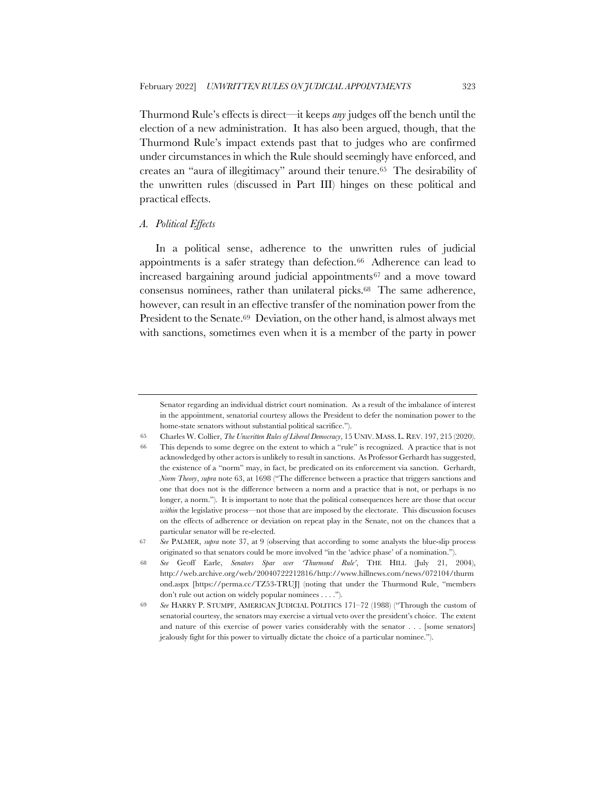Thurmond Rule's effects is direct—it keeps *any* judges off the bench until the election of a new administration. It has also been argued, though, that the Thurmond Rule's impact extends past that to judges who are confirmed under circumstances in which the Rule should seemingly have enforced, and creates an "aura of illegitimacy" around their tenure.65 The desirability of the unwritten rules (discussed in Part III) hinges on these political and practical effects.

#### *A. Political Effects*

In a political sense, adherence to the unwritten rules of judicial appointments is a safer strategy than defection.<sup>66</sup> Adherence can lead to increased bargaining around judicial appointments67 and a move toward consensus nominees, rather than unilateral picks.68 The same adherence, however, can result in an effective transfer of the nomination power from the President to the Senate.69 Deviation, on the other hand, is almost always met with sanctions, sometimes even when it is a member of the party in power

Senator regarding an individual district court nomination. As a result of the imbalance of interest in the appointment, senatorial courtesy allows the President to defer the nomination power to the home-state senators without substantial political sacrifice.").

<sup>65</sup> Charles W. Collier, *The Unwritten Rules of Liberal Democracy*, 15 UNIV. MASS. L. REV. 197, 215 (2020).

<sup>66</sup> This depends to some degree on the extent to which a "rule" is recognized. A practice that is not acknowledged by other actors is unlikely to result in sanctions. As Professor Gerhardt has suggested, the existence of a "norm" may, in fact, be predicated on its enforcement via sanction. Gerhardt, *Norm Theory*, *supra* note 63, at 1698 ("The difference between a practice that triggers sanctions and one that does not is the difference between a norm and a practice that is not, or perhaps is no longer, a norm."). It is important to note that the political consequences here are those that occur *within* the legislative process—not those that are imposed by the electorate. This discussion focuses on the effects of adherence or deviation on repeat play in the Senate, not on the chances that a particular senator will be re-elected.

<sup>67</sup> *See* PALMER, *supra* note 37, at 9 (observing that according to some analysts the blue-slip process originated so that senators could be more involved "in the 'advice phase' of a nomination.").

<sup>68</sup> *See* Geoff Earle, *Senators Spar over 'Thurmond Rule'*, THE HILL (July 21, 2004), http://web.archive.org/web/20040722212816/http://www.hillnews.com/news/072104/thurm ond.aspx [https://perma.cc/TZ53-TRUJ] (noting that under the Thurmond Rule, "members don't rule out action on widely popular nominees . . . .").

<sup>69</sup> *See* HARRY P. STUMPF, AMERICAN JUDICIAL POLITICS 171–72 (1988) ("Through the custom of senatorial courtesy, the senators may exercise a virtual veto over the president's choice. The extent and nature of this exercise of power varies considerably with the senator . . . [some senators] jealously fight for this power to virtually dictate the choice of a particular nominee.").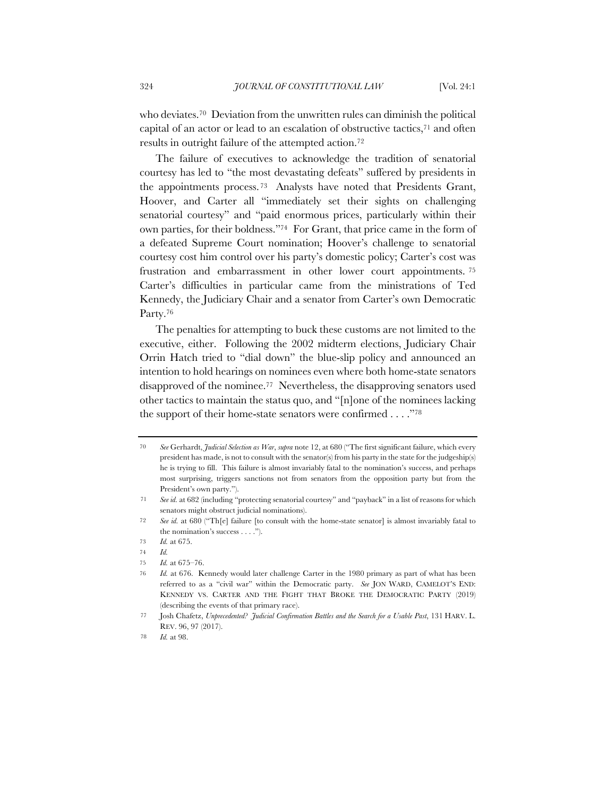who deviates.<sup>70</sup> Deviation from the unwritten rules can diminish the political capital of an actor or lead to an escalation of obstructive tactics,71 and often results in outright failure of the attempted action.72

The failure of executives to acknowledge the tradition of senatorial courtesy has led to "the most devastating defeats" suffered by presidents in the appointments process. 73 Analysts have noted that Presidents Grant, Hoover, and Carter all "immediately set their sights on challenging senatorial courtesy" and "paid enormous prices, particularly within their own parties, for their boldness."74 For Grant, that price came in the form of a defeated Supreme Court nomination; Hoover's challenge to senatorial courtesy cost him control over his party's domestic policy; Carter's cost was frustration and embarrassment in other lower court appointments. 75 Carter's difficulties in particular came from the ministrations of Ted Kennedy, the Judiciary Chair and a senator from Carter's own Democratic Party.<sup>76</sup>

The penalties for attempting to buck these customs are not limited to the executive, either. Following the 2002 midterm elections, Judiciary Chair Orrin Hatch tried to "dial down" the blue-slip policy and announced an intention to hold hearings on nominees even where both home-state senators disapproved of the nominee.77 Nevertheless, the disapproving senators used other tactics to maintain the status quo, and "[n]one of the nominees lacking the support of their home-state senators were confirmed . . . ."78

<sup>70</sup> *See* Gerhardt, *Judicial Selection as War*, *supra* note 12, at 680 ("The first significant failure, which every president has made, is not to consult with the senator(s) from his party in the state for the judgeship(s) he is trying to fill. This failure is almost invariably fatal to the nomination's success, and perhaps most surprising, triggers sanctions not from senators from the opposition party but from the President's own party.").

<sup>71</sup> *See id.* at 682 (including "protecting senatorial courtesy" and "payback" in a list of reasons for which senators might obstruct judicial nominations).

<sup>72</sup> *See id.* at 680 ("Th[e] failure [to consult with the home-state senator] is almost invariably fatal to the nomination's success . . . .").

<sup>73</sup> *Id.* at 675.

<sup>74</sup> *Id.*

<sup>75</sup> *Id.* at 675–76.

<sup>76</sup> *Id.* at 676. Kennedy would later challenge Carter in the 1980 primary as part of what has been referred to as a "civil war" within the Democratic party. *See* JON WARD, CAMELOT'S END: KENNEDY VS. CARTER AND THE FIGHT THAT BROKE THE DEMOCRATIC PARTY (2019) (describing the events of that primary race).

<sup>77</sup> Josh Chafetz, *Unprecedented? Judicial Confirmation Battles and the Search for a Usable Past*, 131 HARV. L. REV. 96, 97 (2017).

<sup>78</sup> *Id.* at 98.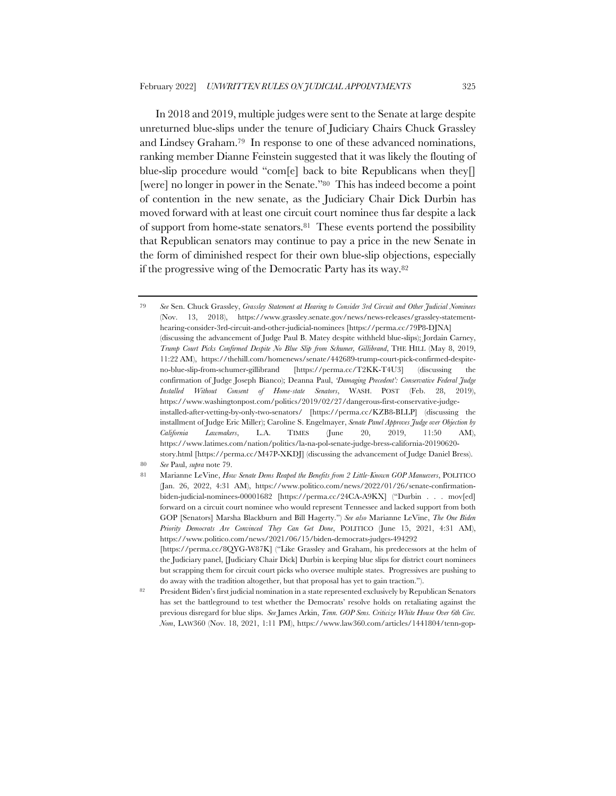In 2018 and 2019, multiple judges were sent to the Senate at large despite unreturned blue-slips under the tenure of Judiciary Chairs Chuck Grassley and Lindsey Graham.79 In response to one of these advanced nominations, ranking member Dianne Feinstein suggested that it was likely the flouting of blue-slip procedure would "com[e] back to bite Republicans when they[] [were] no longer in power in the Senate."80 This has indeed become a point of contention in the new senate, as the Judiciary Chair Dick Durbin has moved forward with at least one circuit court nominee thus far despite a lack of support from home-state senators.81 These events portend the possibility that Republican senators may continue to pay a price in the new Senate in the form of diminished respect for their own blue-slip objections, especially if the progressive wing of the Democratic Party has its way.82

<sup>79</sup> *See* Sen. Chuck Grassley, *Grassley Statement at Hearing to Consider 3rd Circuit and Other Judicial Nominees* (Nov. 13, 2018), https://www.grassley.senate.gov/news/news-releases/grassley-statementhearing-consider-3rd-circuit-and-other-judicial-nominees [https://perma.cc/79P8-DJNA] (discussing the advancement of Judge Paul B. Matey despite withheld blue-slips); Jordain Carney, *Trump Court Picks Confirmed Despite No Blue Slip from Schumer, Gillibrand*, THE HILL (May 8, 2019, 11:22 AM), https://thehill.com/homenews/senate/442689-trump-court-pick-confirmed-despiteno-blue-slip-from-schumer-gillibrand [https://perma.cc/T2KK-T4U3] (discussing the confirmation of Judge Joseph Bianco); Deanna Paul, *'Damaging Precedent': Conservative Federal Judge Installed Without Consent of Home-state Senators*, WASH. POST (Feb. 28, 2019), https://www.washingtonpost.com/politics/2019/02/27/dangerous-first-conservative-judgeinstalled-after-vetting-by-only-two-senators/ [https://perma.cc/KZB8-BLLP] (discussing the installment of Judge Eric Miller); Caroline S. Engelmayer, *Senate Panel Approves Judge over Objection by California Lawmakers*, L.A. TIMES (June 20, 2019, 11:50 AM), https://www.latimes.com/nation/politics/la-na-pol-senate-judge-bress-california-20190620 story.html [https://perma.cc/M47P-XKDJ] (discussing the advancement of Judge Daniel Bress).

<sup>80</sup> *See* Paul, *supra* note 79.

<sup>81</sup> Marianne LeVine, *How Senate Dems Reaped the Benefits from 2 Little-Known GOP Manuevers*, POLITICO (Jan. 26, 2022, 4:31 AM), https://www.politico.com/news/2022/01/26/senate-confirmationbiden-judicial-nominees-00001682 [https://perma.cc/24CA-A9KX] ("Durbin . . . mov[ed] forward on a circuit court nominee who would represent Tennessee and lacked support from both GOP [Senators] Marsha Blackburn and Bill Hagerty.") *See also* Marianne LeVine, *The One Biden Priority Democrats Are Convinced They Can Get Done*, POLITICO (June 15, 2021, 4:31 AM), https://www.politico.com/news/2021/06/15/biden-democrats-judges-494292 [https://perma.cc/8QYG-W87K] ("Like Grassley and Graham, his predecessors at the helm of the Judiciary panel, [Judiciary Chair Dick] Durbin is keeping blue slips for district court nominees but scrapping them for circuit court picks who oversee multiple states. Progressives are pushing to

do away with the tradition altogether, but that proposal has yet to gain traction."). <sup>82</sup> President Biden's first judicial nomination in a state represented exclusively by Republican Senators has set the battleground to test whether the Democrats' resolve holds on retaliating against the previous disregard for blue slips. *See* James Arkin, *Tenn. GOP Sens. Criticize White House Over 6th Circ. Nom*, LAW360 (Nov. 18, 2021, 1:11 PM), https://www.law360.com/articles/1441804/tenn-gop-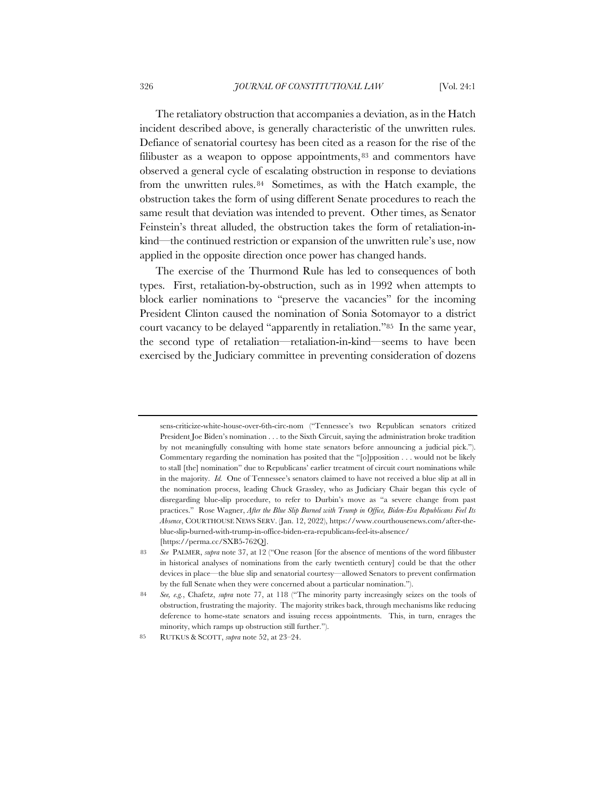The retaliatory obstruction that accompanies a deviation, as in the Hatch incident described above, is generally characteristic of the unwritten rules. Defiance of senatorial courtesy has been cited as a reason for the rise of the filibuster as a weapon to oppose appointments, <sup>83</sup> and commentors have observed a general cycle of escalating obstruction in response to deviations from the unwritten rules.84 Sometimes, as with the Hatch example, the obstruction takes the form of using different Senate procedures to reach the same result that deviation was intended to prevent. Other times, as Senator Feinstein's threat alluded, the obstruction takes the form of retaliation-inkind—the continued restriction or expansion of the unwritten rule's use, now applied in the opposite direction once power has changed hands.

The exercise of the Thurmond Rule has led to consequences of both types. First, retaliation-by-obstruction, such as in 1992 when attempts to block earlier nominations to "preserve the vacancies" for the incoming President Clinton caused the nomination of Sonia Sotomayor to a district court vacancy to be delayed "apparently in retaliation."85 In the same year, the second type of retaliation—retaliation-in-kind—seems to have been exercised by the Judiciary committee in preventing consideration of dozens

sens-criticize-white-house-over-6th-circ-nom ("Tennessee's two Republican senators critized President Joe Biden's nomination . . . to the Sixth Circuit, saying the administration broke tradition by not meaningfully consulting with home state senators before announcing a judicial pick."). Commentary regarding the nomination has posited that the "[o]pposition . . . would not be likely to stall [the] nomination" due to Republicans' earlier treatment of circuit court nominations while in the majority. *Id.* One of Tennessee's senators claimed to have not received a blue slip at all in the nomination process, leading Chuck Grassley, who as Judiciary Chair began this cycle of disregarding blue-slip procedure, to refer to Durbin's move as "a severe change from past practices." Rose Wagner, *After the Blue Slip Burned with Trump in Office, Biden-Era Republicans Feel Its Absence*, COURTHOUSE NEWS SERV. (Jan. 12, 2022), https://www.courthousenews.com/after-theblue-slip-burned-with-trump-in-office-biden-era-republicans-feel-its-absence/ [https://perma.cc/SXB5-762Q].

<sup>83</sup> *See* PALMER, *supra* note 37, at 12 ("One reason [for the absence of mentions of the word filibuster in historical analyses of nominations from the early twentieth century] could be that the other devices in place—the blue slip and senatorial courtesy—allowed Senators to prevent confirmation by the full Senate when they were concerned about a particular nomination.").

<sup>84</sup> *See, e.g.*, Chafetz, *supra* note 77, at 118 ("The minority party increasingly seizes on the tools of obstruction, frustrating the majority. The majority strikes back, through mechanisms like reducing deference to home-state senators and issuing recess appointments. This, in turn, enrages the minority, which ramps up obstruction still further.").

<sup>85</sup> RUTKUS & SCOTT, *supra* note 52, at 23–24.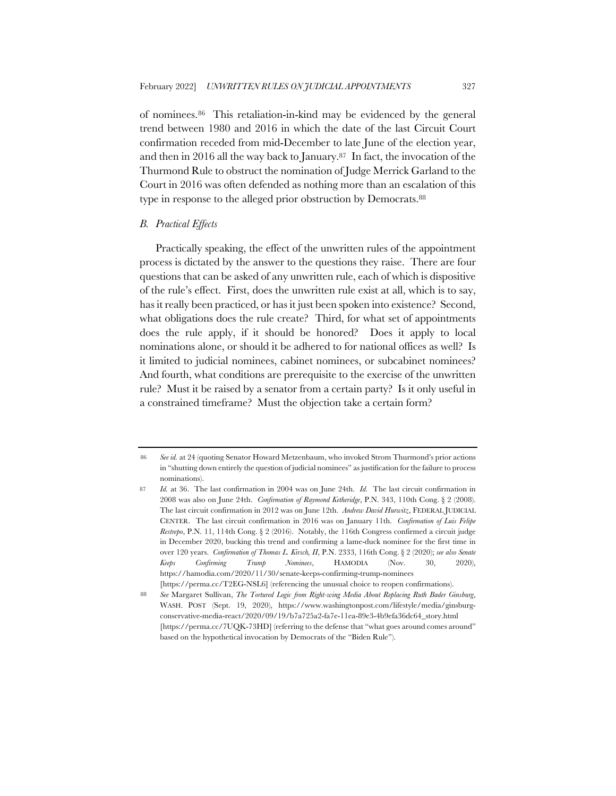of nominees.86 This retaliation-in-kind may be evidenced by the general trend between 1980 and 2016 in which the date of the last Circuit Court confirmation receded from mid-December to late June of the election year, and then in 2016 all the way back to January.87 In fact, the invocation of the Thurmond Rule to obstruct the nomination of Judge Merrick Garland to the Court in 2016 was often defended as nothing more than an escalation of this type in response to the alleged prior obstruction by Democrats.88

#### *B. Practical Effects*

Practically speaking, the effect of the unwritten rules of the appointment process is dictated by the answer to the questions they raise. There are four questions that can be asked of any unwritten rule, each of which is dispositive of the rule's effect. First, does the unwritten rule exist at all, which is to say, has it really been practiced, or has it just been spoken into existence? Second, what obligations does the rule create? Third, for what set of appointments does the rule apply, if it should be honored? Does it apply to local nominations alone, or should it be adhered to for national offices as well? Is it limited to judicial nominees, cabinet nominees, or subcabinet nominees? And fourth, what conditions are prerequisite to the exercise of the unwritten rule? Must it be raised by a senator from a certain party? Is it only useful in a constrained timeframe? Must the objection take a certain form?

<sup>86</sup> *See id.* at 24 (quoting Senator Howard Metzenbaum, who invoked Strom Thurmond's prior actions in "shutting down entirely the question of judicial nominees" as justification for the failure to process nominations).

<sup>87</sup> *Id.* at 36. The last confirmation in 2004 was on June 24th. *Id.* The last circuit confirmation in 2008 was also on June 24th. *Confirmation of Raymond Ketheridge*, P.N. 343, 110th Cong. § 2 (2008). The last circuit confirmation in 2012 was on June 12th. *Andrew David Hurwitz*, FEDERAL JUDICIAL CENTER. The last circuit confirmation in 2016 was on January 11th. *Confirmation of Luis Felipe Restrepo*, P.N. 11, 114th Cong. § 2 (2016). Notably, the 116th Congress confirmed a circuit judge in December 2020, bucking this trend and confirming a lame-duck nominee for the first time in over 120 years. *Confirmation of Thomas L. Kirsch, II*, P.N. 2333, 116th Cong. § 2 (2020); *see also Senate Keeps Confirming Trump Nominees*, HAMODIA (Nov. 30, 2020), https://hamodia.com/2020/11/30/senate-keeps-confirming-trump-nominees [https://perma.cc/T2EG-NSL6] (referencing the unusual choice to reopen confirmations).

<sup>88</sup> *See* Margaret Sullivan, *The Tortured Logic from Right-wing Media About Replacing Ruth Bader Ginsburg*, WASH. POST (Sept. 19, 2020), https://www.washingtonpost.com/lifestyle/media/ginsburgconservative-media-react/2020/09/19/b7a725a2-fa7e-11ea-89e3-4b9efa36dc64\_story.html [https://perma.cc/7UQK-73HD] (referring to the defense that "what goes around comes around" based on the hypothetical invocation by Democrats of the "Biden Rule").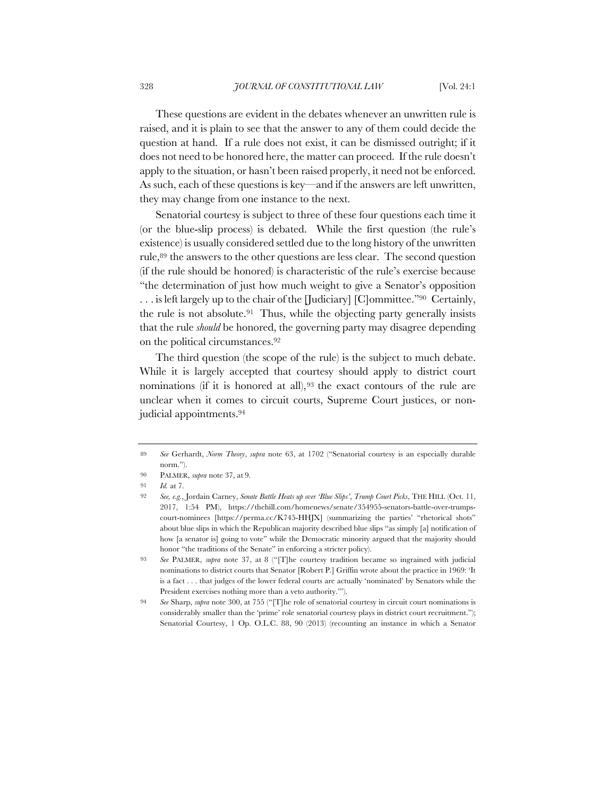These questions are evident in the debates whenever an unwritten rule is raised, and it is plain to see that the answer to any of them could decide the question at hand. If a rule does not exist, it can be dismissed outright; if it does not need to be honored here, the matter can proceed. If the rule doesn't apply to the situation, or hasn't been raised properly, it need not be enforced. As such, each of these questions is key—and if the answers are left unwritten, they may change from one instance to the next.

Senatorial courtesy is subject to three of these four questions each time it (or the blue-slip process) is debated. While the first question (the rule's existence) is usually considered settled due to the long history of the unwritten rule,<sup>89</sup> the answers to the other questions are less clear. The second question (if the rule should be honored) is characteristic of the rule's exercise because "the determination of just how much weight to give a Senator's opposition . . . is left largely up to the chair of the [Judiciary] [C]ommittee."90 Certainly, the rule is not absolute.91 Thus, while the objecting party generally insists that the rule *should* be honored, the governing party may disagree depending on the political circumstances.92

The third question (the scope of the rule) is the subject to much debate. While it is largely accepted that courtesy should apply to district court nominations (if it is honored at all),  $93$  the exact contours of the rule are unclear when it comes to circuit courts, Supreme Court justices, or nonjudicial appointments.94

<sup>89</sup> *See* Gerhardt, *Norm Theory*, *supra* note 63, at 1702 ("Senatorial courtesy is an especially durable norm.").

<sup>90</sup> PALMER, *supra* note 37, at 9.

<sup>91</sup> *Id.* at 7.

<sup>92</sup> *See, e.g.*, Jordain Carney, *Senate Battle Heats up over 'Blue Slips'*, *Trump Court Picks*, THE HILL (Oct. 11, 2017, 1:54 PM), https://thehill.com/homenews/senate/354955-senators-battle-over-trumpscourt-nominees [https://perma.cc/K745-HHJX] (summarizing the parties' "rhetorical shots" about blue slips in which the Republican majority described blue slips "as simply [a] notification of how [a senator is] going to vote" while the Democratic minority argued that the majority should honor "the traditions of the Senate" in enforcing a stricter policy).

See PALMER, *supra* note 37, at 8 ("[T]he courtesy tradition became so ingrained with judicial nominations to district courts that Senator [Robert P.] Griffin wrote about the practice in 1969: 'It is a fact . . . that judges of the lower federal courts are actually 'nominated' by Senators while the President exercises nothing more than a veto authority.'").

<sup>94</sup> *See* Sharp, *supra* note 300, at 755 ("[T]he role of senatorial courtesy in circuit court nominations is considerably smaller than the 'prime' role senatorial courtesy plays in district court recruitment."); Senatorial Courtesy, 1 Op. O.L.C. 88, 90 (2013) (recounting an instance in which a Senator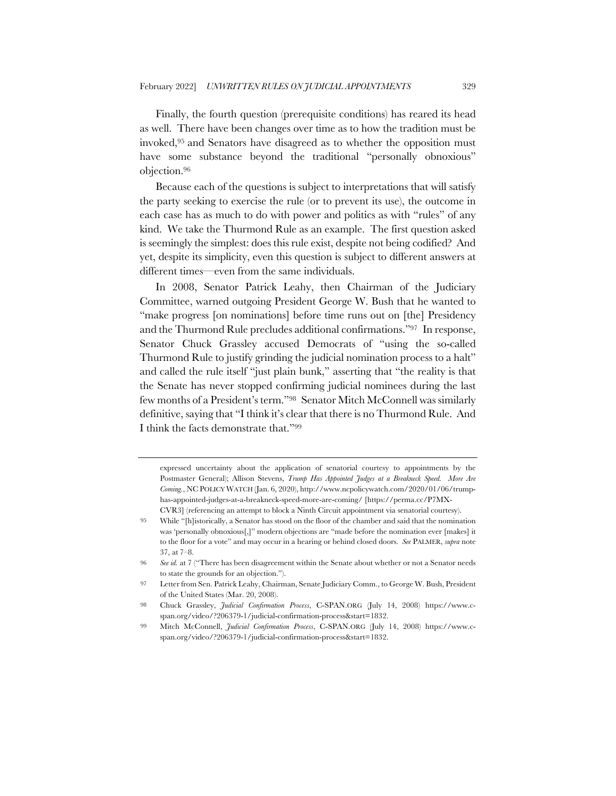Finally, the fourth question (prerequisite conditions) has reared its head as well. There have been changes over time as to how the tradition must be invoked,95 and Senators have disagreed as to whether the opposition must have some substance beyond the traditional "personally obnoxious" objection.96

Because each of the questions is subject to interpretations that will satisfy the party seeking to exercise the rule (or to prevent its use), the outcome in each case has as much to do with power and politics as with "rules" of any kind. We take the Thurmond Rule as an example. The first question asked is seemingly the simplest: does this rule exist, despite not being codified? And yet, despite its simplicity, even this question is subject to different answers at different times—even from the same individuals.

In 2008, Senator Patrick Leahy, then Chairman of the Judiciary Committee, warned outgoing President George W. Bush that he wanted to "make progress [on nominations] before time runs out on [the] Presidency and the Thurmond Rule precludes additional confirmations."97 In response, Senator Chuck Grassley accused Democrats of "using the so-called Thurmond Rule to justify grinding the judicial nomination process to a halt" and called the rule itself "just plain bunk," asserting that "the reality is that the Senate has never stopped confirming judicial nominees during the last few months of a President's term."98 Senator Mitch McConnell was similarly definitive, saying that "I think it's clear that there is no Thurmond Rule. And I think the facts demonstrate that."99

expressed uncertainty about the application of senatorial courtesy to appointments by the Postmaster General); Allison Stevens, *Trump Has Appointed Judges at a Breakneck Speed. More Are Coming.*, NC POLICY WATCH (Jan. 6, 2020), http://www.ncpolicywatch.com/2020/01/06/trumphas-appointed-judges-at-a-breakneck-speed-more-are-coming/ [https://perma.cc/P7MX-CVR3] (referencing an attempt to block a Ninth Circuit appointment via senatorial courtesy).

<sup>95</sup> While "[h]istorically, a Senator has stood on the floor of the chamber and said that the nomination was 'personally obnoxious[,]" modern objections are "made before the nomination ever [makes] it to the floor for a vote" and may occur in a hearing or behind closed doors. *See* PALMER, *supra* note 37, at 7–8.

<sup>96</sup> *See id.* at 7 ("There has been disagreement within the Senate about whether or not a Senator needs to state the grounds for an objection.").

<sup>97</sup> Letter from Sen. Patrick Leahy, Chairman, Senate Judiciary Comm., to George W. Bush, President of the United States (Mar. 20, 2008).

<sup>98</sup> Chuck Grassley, *Judicial Confirmation Process*, C-SPAN.ORG (July 14, 2008) https://www.cspan.org/video/?206379-1/judicial-confirmation-process&start=1832.

<sup>99</sup> Mitch McConnell, *Judicial Confirmation Process*, C-SPAN.ORG (July 14, 2008) https://www.cspan.org/video/?206379-1/judicial-confirmation-process&start=1832.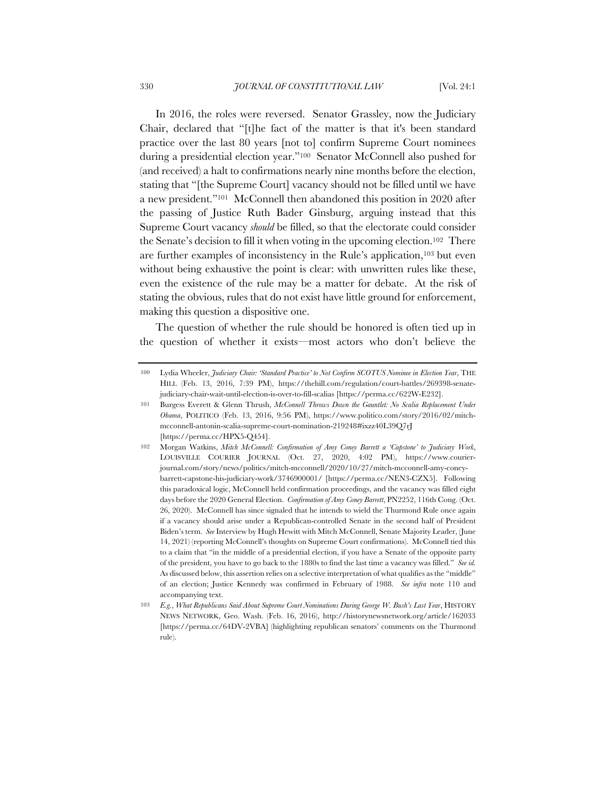In 2016, the roles were reversed. Senator Grassley, now the Judiciary Chair, declared that "[t]he fact of the matter is that it's been standard practice over the last 80 years [not to] confirm Supreme Court nominees during a presidential election year."100 Senator McConnell also pushed for (and received) a halt to confirmations nearly nine months before the election, stating that "[the Supreme Court] vacancy should not be filled until we have a new president."101 McConnell then abandoned this position in 2020 after the passing of Justice Ruth Bader Ginsburg, arguing instead that this Supreme Court vacancy *should* be filled, so that the electorate could consider the Senate's decision to fill it when voting in the upcoming election.102 There are further examples of inconsistency in the Rule's application,103 but even without being exhaustive the point is clear: with unwritten rules like these, even the existence of the rule may be a matter for debate. At the risk of stating the obvious, rules that do not exist have little ground for enforcement, making this question a dispositive one.

The question of whether the rule should be honored is often tied up in the question of whether it exists—most actors who don't believe the

<sup>100</sup> Lydia Wheeler, *Judiciary Chair: 'Standard Practice' to Not Confirm SCOTUS Nominee in Election Year*, THE HILL (Feb. 13, 2016, 7:39 PM), https://thehill.com/regulation/court-battles/269398-senatejudiciary-chair-wait-until-election-is-over-to-fill-scalias [https://perma.cc/622W-E232].

<sup>101</sup> Burgess Everett & Glenn Thrush, *McConnell Throws Down the Gauntlet: No Scalia Replacement Under Obama*, POLITICO (Feb. 13, 2016, 9:56 PM), https://www.politico.com/story/2016/02/mitchmcconnell-antonin-scalia-supreme-court-nomination-219248#ixzz40L39Q7rJ [https://perma.cc/HPX5-Q454].

<sup>102</sup> Morgan Watkins, *Mitch McConnell: Confirmation of Amy Coney Barrett a 'Capstone' to Judiciary Work*, LOUISVILLE COURIER JOURNAL (Oct. 27, 2020, 4:02 PM), https://www.courierjournal.com/story/news/politics/mitch-mcconnell/2020/10/27/mitch-mcconnell-amy-coneybarrett-capstone-his-judiciary-work/3746900001/ [https://perma.cc/NEN3-CZX5]. Following this paradoxical logic, McConnell held confirmation proceedings, and the vacancy was filled eight days before the 2020 General Election. *Confirmation of Amy Coney Barrett*, PN2252, 116th Cong. (Oct. 26, 2020). McConnell has since signaled that he intends to wield the Thurmond Rule once again if a vacancy should arise under a Republican-controlled Senate in the second half of President Biden's term. *See* Interview by Hugh Hewitt with Mitch McConnell, Senate Majority Leader, (June 14, 2021) (reporting McConnell's thoughts on Supreme Court confirmations). McConnell tied this to a claim that "in the middle of a presidential election, if you have a Senate of the opposite party of the president, you have to go back to the 1880s to find the last time a vacancy was filled." *See id.* As discussed below, this assertion relies on a selective interpretation of what qualifies as the "middle" of an election; Justice Kennedy was confirmed in February of 1988. *See infra* note 110 and accompanying text.

<sup>103</sup> *E.g.*, *What Republicans Said About Supreme Court Nominations During George W. Bush's Last Year*, HISTORY NEWS NETWORK, Geo. Wash. (Feb. 16, 2016), http://historynewsnetwork.org/article/162033 [https://perma.cc/64DV-2VBA] (highlighting republican senators' comments on the Thurmond rule).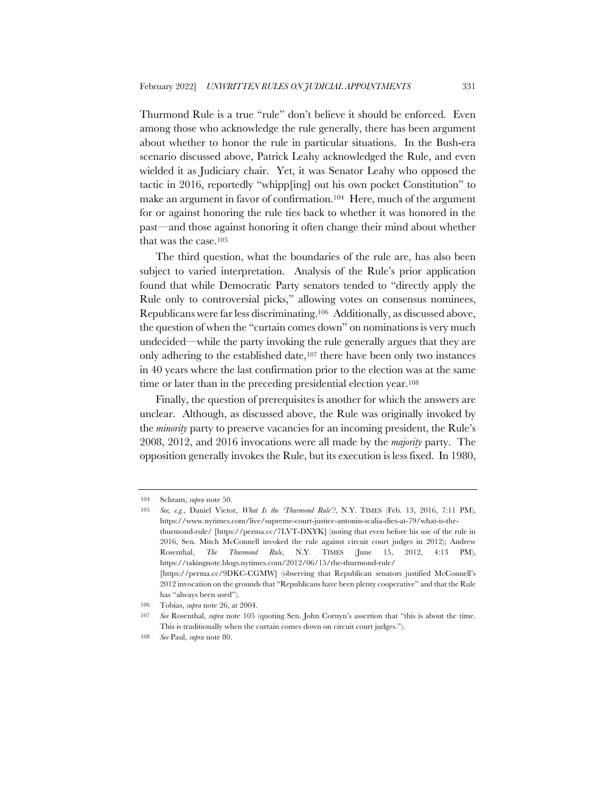Thurmond Rule is a true "rule" don't believe it should be enforced. Even among those who acknowledge the rule generally, there has been argument about whether to honor the rule in particular situations. In the Bush-era scenario discussed above, Patrick Leahy acknowledged the Rule, and even wielded it as Judiciary chair. Yet, it was Senator Leahy who opposed the tactic in 2016, reportedly "whipp[ing] out his own pocket Constitution" to make an argument in favor of confirmation.104 Here, much of the argument for or against honoring the rule ties back to whether it was honored in the past—and those against honoring it often change their mind about whether that was the case.105

The third question, what the boundaries of the rule are, has also been subject to varied interpretation. Analysis of the Rule's prior application found that while Democratic Party senators tended to "directly apply the Rule only to controversial picks," allowing votes on consensus nominees, Republicans were far less discriminating.106 Additionally, as discussed above, the question of when the "curtain comes down" on nominations is very much undecided—while the party invoking the rule generally argues that they are only adhering to the established date,107 there have been only two instances in 40 years where the last confirmation prior to the election was at the same time or later than in the preceding presidential election year.108

Finally, the question of prerequisites is another for which the answers are unclear. Although, as discussed above, the Rule was originally invoked by the *minority* party to preserve vacancies for an incoming president, the Rule's 2008, 2012, and 2016 invocations were all made by the *majority* party. The opposition generally invokes the Rule, but its execution is less fixed. In 1980,

<sup>104</sup> Schram, *supra* note 50.

<sup>105</sup> *See, e.g.*, Daniel Victor, *What Is the 'Thurmond Rule'?*, N.Y. TIMES (Feb. 13, 2016, 7:11 PM), https://www.nytimes.com/live/supreme-court-justice-antonin-scalia-dies-at-79/what-is-thethurmond-rule/ [https://perma.cc/7LVT-DXYK] (noting that even before his use of the rule in 2016, Sen. Mitch McConnell invoked the rule against circuit court judges in 2012); Andrew Rosenthal, *The Thurmond Rule*, N.Y. TIMES (June 15, 2012, 4:13 PM), https://takingnote.blogs.nytimes.com/2012/06/15/the-thurmond-rule/ [https://perma.cc/9DKC-CGMW] (observing that Republican senators justified McConnell's 2012 invocation on the grounds that "Republicans have been plenty cooperative" and that the Rule has "always been used").

<sup>106</sup> Tobias, *supra* note 26, at 2004.

<sup>107</sup> *See* Rosenthal, *supra* note 105 (quoting Sen. John Cornyn's assertion that "this is about the time. This is traditionally when the curtain comes down on circuit court judges.").

<sup>108</sup> *See* Paul, *supra* note 80.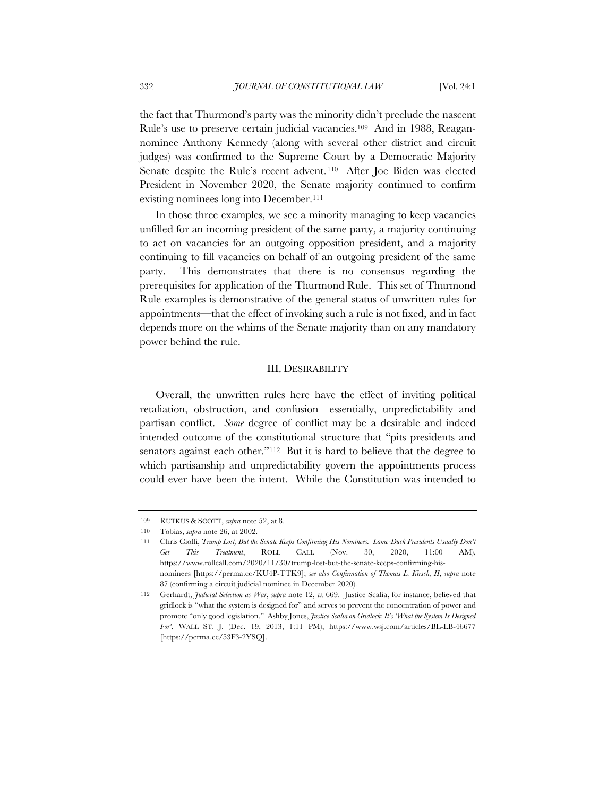the fact that Thurmond's party was the minority didn't preclude the nascent Rule's use to preserve certain judicial vacancies.109 And in 1988, Reagannominee Anthony Kennedy (along with several other district and circuit judges) was confirmed to the Supreme Court by a Democratic Majority Senate despite the Rule's recent advent.110 After Joe Biden was elected President in November 2020, the Senate majority continued to confirm existing nominees long into December.111

In those three examples, we see a minority managing to keep vacancies unfilled for an incoming president of the same party, a majority continuing to act on vacancies for an outgoing opposition president, and a majority continuing to fill vacancies on behalf of an outgoing president of the same party. This demonstrates that there is no consensus regarding the prerequisites for application of the Thurmond Rule. This set of Thurmond Rule examples is demonstrative of the general status of unwritten rules for appointments—that the effect of invoking such a rule is not fixed, and in fact depends more on the whims of the Senate majority than on any mandatory power behind the rule.

#### III. DESIRABILITY

Overall, the unwritten rules here have the effect of inviting political retaliation, obstruction, and confusion—essentially, unpredictability and partisan conflict. *Some* degree of conflict may be a desirable and indeed intended outcome of the constitutional structure that "pits presidents and senators against each other."<sup>112</sup> But it is hard to believe that the degree to which partisanship and unpredictability govern the appointments process could ever have been the intent. While the Constitution was intended to

<sup>109</sup> RUTKUS & SCOTT, *supra* note 52, at 8.

<sup>110</sup> Tobias, *supra* note 26, at 2002.

<sup>111</sup> Chris Cioffi, *Trump Lost, But the Senate Keeps Confirming His Nominees. Lame-Duck Presidents Usually Don't Get This Treatment*, ROLL CALL (Nov. 30, 2020, 11:00 AM), https://www.rollcall.com/2020/11/30/trump-lost-but-the-senate-keeps-confirming-hisnominees [https://perma.cc/KU4P-TTK9]; *see also Confirmation of Thomas L. Kirsch, II*, *supra* note 87 (confirming a circuit judicial nominee in December 2020).

<sup>112</sup> Gerhardt, *Judicial Selection as War*, *supra* note 12, at 669. Justice Scalia, for instance, believed that gridlock is "what the system is designed for" and serves to prevent the concentration of power and promote "only good legislation." Ashby Jones, *Justice Scalia on Gridlock: It's 'What the System Is Designed For'*, WALL ST. J. (Dec. 19, 2013, 1:11 PM), https://www.wsj.com/articles/BL-LB-46677 [https://perma.cc/53F3-2YSQ].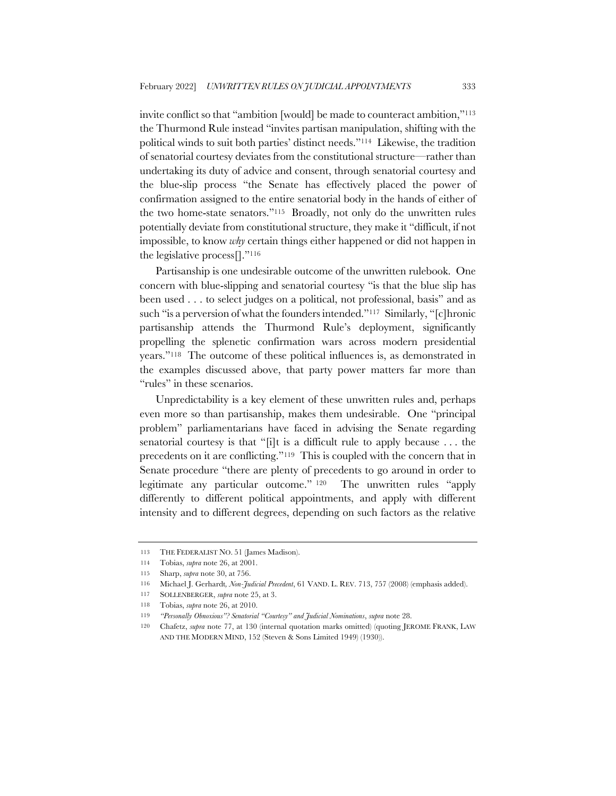invite conflict so that "ambition [would] be made to counteract ambition,"113 the Thurmond Rule instead "invites partisan manipulation, shifting with the political winds to suit both parties' distinct needs."114 Likewise, the tradition of senatorial courtesy deviates from the constitutional structure—rather than undertaking its duty of advice and consent, through senatorial courtesy and the blue-slip process "the Senate has effectively placed the power of confirmation assigned to the entire senatorial body in the hands of either of the two home-state senators."115 Broadly, not only do the unwritten rules potentially deviate from constitutional structure, they make it "difficult, if not impossible, to know *why* certain things either happened or did not happen in the legislative process[]."116

Partisanship is one undesirable outcome of the unwritten rulebook. One concern with blue-slipping and senatorial courtesy "is that the blue slip has been used . . . to select judges on a political, not professional, basis" and as such "is a perversion of what the founders intended."117 Similarly, "[c]hronic partisanship attends the Thurmond Rule's deployment, significantly propelling the splenetic confirmation wars across modern presidential years."118 The outcome of these political influences is, as demonstrated in the examples discussed above, that party power matters far more than "rules" in these scenarios.

Unpredictability is a key element of these unwritten rules and, perhaps even more so than partisanship, makes them undesirable. One "principal problem" parliamentarians have faced in advising the Senate regarding senatorial courtesy is that "[i]t is a difficult rule to apply because . . . the precedents on it are conflicting."119 This is coupled with the concern that in Senate procedure "there are plenty of precedents to go around in order to legitimate any particular outcome." 120 The unwritten rules "apply differently to different political appointments, and apply with different intensity and to different degrees, depending on such factors as the relative

<sup>113</sup> THE FEDERALIST NO. 51 (James Madison).

<sup>114</sup> Tobias, *supra* note 26, at 2001.

<sup>115</sup> Sharp, *supra* note 30, at 756.

<sup>116</sup> Michael J. Gerhardt*, Non-Judicial Precedent*, 61 VAND. L. REV. 713, 757 (2008) (emphasis added).

<sup>117</sup> SOLLENBERGER, *supra* note 25, at 3.

<sup>118</sup> Tobias, *supra* note 26, at 2010.

<sup>119</sup> *"Personally Obnoxious"? Senatorial "Courtesy" and Judicial Nominations*, *supra* note 28.

<sup>120</sup> Chafetz, *supra* note 77, at 130 (internal quotation marks omitted) (quoting JEROME FRANK, LAW AND THE MODERN MIND, 152 (Steven & Sons Limited 1949) (1930)).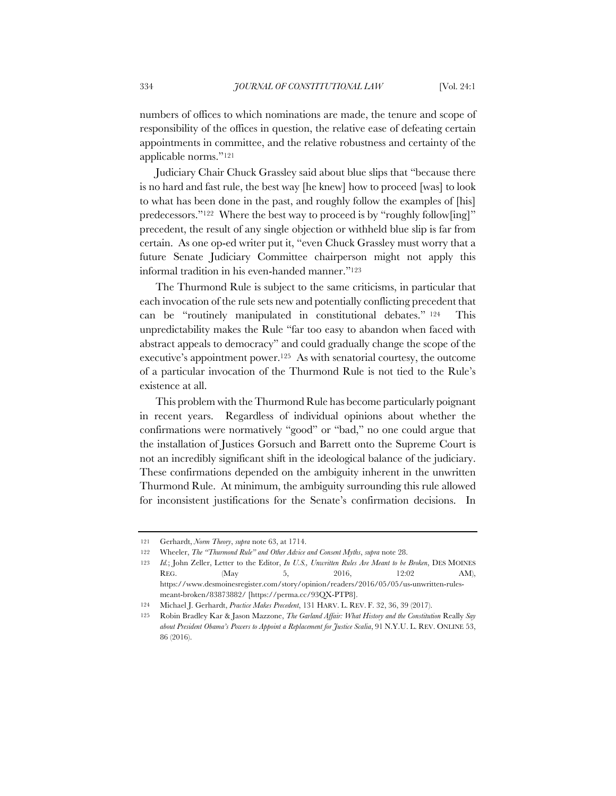numbers of offices to which nominations are made, the tenure and scope of responsibility of the offices in question, the relative ease of defeating certain appointments in committee, and the relative robustness and certainty of the applicable norms."121

Judiciary Chair Chuck Grassley said about blue slips that "because there is no hard and fast rule, the best way [he knew] how to proceed [was] to look to what has been done in the past, and roughly follow the examples of [his] predecessors."122 Where the best way to proceed is by "roughly follow[ing]" precedent, the result of any single objection or withheld blue slip is far from certain. As one op-ed writer put it, "even Chuck Grassley must worry that a future Senate Judiciary Committee chairperson might not apply this informal tradition in his even-handed manner."123

The Thurmond Rule is subject to the same criticisms, in particular that each invocation of the rule sets new and potentially conflicting precedent that can be "routinely manipulated in constitutional debates." 124 This unpredictability makes the Rule "far too easy to abandon when faced with abstract appeals to democracy" and could gradually change the scope of the executive's appointment power.125 As with senatorial courtesy, the outcome of a particular invocation of the Thurmond Rule is not tied to the Rule's existence at all.

This problem with the Thurmond Rule has become particularly poignant in recent years. Regardless of individual opinions about whether the confirmations were normatively "good" or "bad," no one could argue that the installation of Justices Gorsuch and Barrett onto the Supreme Court is not an incredibly significant shift in the ideological balance of the judiciary. These confirmations depended on the ambiguity inherent in the unwritten Thurmond Rule. At minimum, the ambiguity surrounding this rule allowed for inconsistent justifications for the Senate's confirmation decisions. In

<sup>121</sup> Gerhardt, *Norm Theory*, *supra* note 63, at 1714.

<sup>122</sup> Wheeler, *The "Thurmond Rule" and Other Advice and Consent Myths*, *supra* note 28.

<sup>123</sup> *Id.*; John Zeller, Letter to the Editor, *In U.S., Unwritten Rules Are Meant to be Broken*, DES MOINES REG. (May 5, 2016, 12:02 AM), https://www.desmoinesregister.com/story/opinion/readers/2016/05/05/us-unwritten-rulesmeant-broken/83873882/ [https://perma.cc/93QX-PTP8].

<sup>124</sup> Michael J. Gerhardt, *Practice Makes Precedent*, 131 HARV. L. REV. F. 32, 36, 39 (2017).

<sup>125</sup> Robin Bradley Kar & Jason Mazzone, *The Garland Affair: What History and the Constitution* Really *Say about President Obama's Powers to Appoint a Replacement for Justice Scalia*, 91 N.Y.U. L. REV. ONLINE 53, 86 (2016).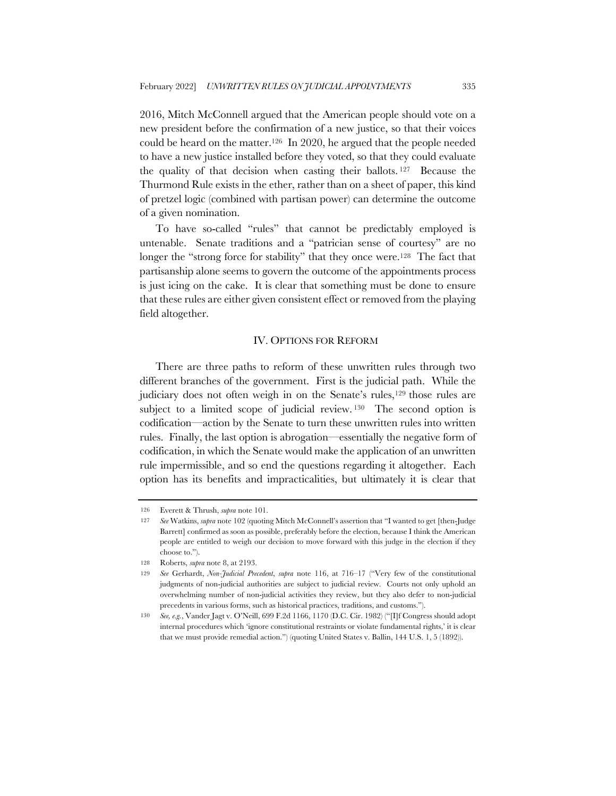2016, Mitch McConnell argued that the American people should vote on a new president before the confirmation of a new justice, so that their voices could be heard on the matter.126 In 2020, he argued that the people needed to have a new justice installed before they voted, so that they could evaluate the quality of that decision when casting their ballots. 127 Because the Thurmond Rule exists in the ether, rather than on a sheet of paper, this kind of pretzel logic (combined with partisan power) can determine the outcome of a given nomination.

To have so-called "rules" that cannot be predictably employed is untenable. Senate traditions and a "patrician sense of courtesy" are no longer the "strong force for stability" that they once were.<sup>128</sup> The fact that partisanship alone seems to govern the outcome of the appointments process is just icing on the cake. It is clear that something must be done to ensure that these rules are either given consistent effect or removed from the playing field altogether.

#### IV. OPTIONS FOR REFORM

There are three paths to reform of these unwritten rules through two different branches of the government. First is the judicial path. While the judiciary does not often weigh in on the Senate's rules,<sup>129</sup> those rules are subject to a limited scope of judicial review. <sup>130</sup> The second option is codification—action by the Senate to turn these unwritten rules into written rules. Finally, the last option is abrogation—essentially the negative form of codification, in which the Senate would make the application of an unwritten rule impermissible, and so end the questions regarding it altogether. Each option has its benefits and impracticalities, but ultimately it is clear that

<sup>126</sup> Everett & Thrush, *supra* note 101.

<sup>127</sup> *See* Watkins, *supra* note 102 (quoting Mitch McConnell's assertion that "I wanted to get [then-Judge Barrett] confirmed as soon as possible, preferably before the election, because I think the American people are entitled to weigh our decision to move forward with this judge in the election if they choose to.").

<sup>128</sup> Roberts, *supra* note 8, at 2193.

<sup>129</sup> *See* Gerhardt, *Non-Judicial Precedent*, *supra* note 116, at 716–17 ("Very few of the constitutional judgments of non-judicial authorities are subject to judicial review. Courts not only uphold an overwhelming number of non-judicial activities they review, but they also defer to non-judicial precedents in various forms, such as historical practices, traditions, and customs.").

<sup>130</sup> *See, e.g.*, Vander Jagt v. O'Neill, 699 F.2d 1166, 1170 (D.C. Cir. 1982) ("[I]f Congress should adopt internal procedures which 'ignore constitutional restraints or violate fundamental rights,' it is clear that we must provide remedial action.") (quoting United States v. Ballin, 144 U.S. 1, 5 (1892)).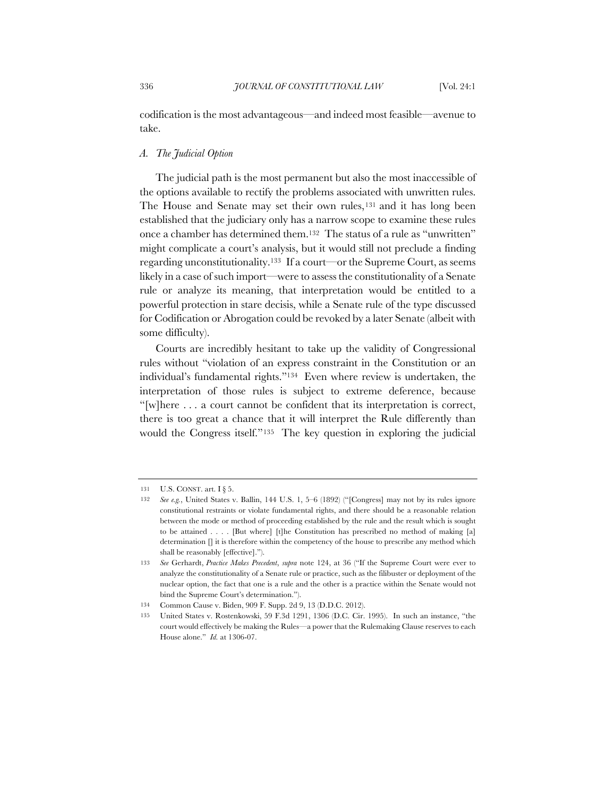codification is the most advantageous—and indeed most feasible—avenue to take.

### *A. The Judicial Option*

The judicial path is the most permanent but also the most inaccessible of the options available to rectify the problems associated with unwritten rules. The House and Senate may set their own rules,<sup>131</sup> and it has long been established that the judiciary only has a narrow scope to examine these rules once a chamber has determined them.132 The status of a rule as "unwritten" might complicate a court's analysis, but it would still not preclude a finding regarding unconstitutionality.133 If a court—or the Supreme Court, as seems likely in a case of such import—were to assess the constitutionality of a Senate rule or analyze its meaning, that interpretation would be entitled to a powerful protection in stare decisis, while a Senate rule of the type discussed for Codification or Abrogation could be revoked by a later Senate (albeit with some difficulty).

Courts are incredibly hesitant to take up the validity of Congressional rules without "violation of an express constraint in the Constitution or an individual's fundamental rights."134 Even where review is undertaken, the interpretation of those rules is subject to extreme deference, because "[w]here . . . a court cannot be confident that its interpretation is correct, there is too great a chance that it will interpret the Rule differently than would the Congress itself."135 The key question in exploring the judicial

<sup>131</sup> U.S. CONST. art. I § 5.

<sup>132</sup> *See e.g.*, United States v. Ballin, 144 U.S. 1, 5–6 (1892) ("[Congress] may not by its rules ignore constitutional restraints or violate fundamental rights, and there should be a reasonable relation between the mode or method of proceeding established by the rule and the result which is sought to be attained . . . . [But where] [t]he Constitution has prescribed no method of making [a] determination [] it is therefore within the competency of the house to prescribe any method which shall be reasonably [effective].").

<sup>133</sup> *See* Gerhardt, *Practice Makes Precedent*, *supra* note 124, at 36 ("If the Supreme Court were ever to analyze the constitutionality of a Senate rule or practice, such as the filibuster or deployment of the nuclear option, the fact that one is a rule and the other is a practice within the Senate would not bind the Supreme Court's determination.").

<sup>134</sup> Common Cause v. Biden, 909 F. Supp. 2d 9, 13 (D.D.C. 2012).

United States v. Rostenkowski, 59 F.3d 1291, 1306 (D.C. Cir. 1995). In such an instance, "the court would effectively be making the Rules—a power that the Rulemaking Clause reserves to each House alone." *Id.* at 1306-07.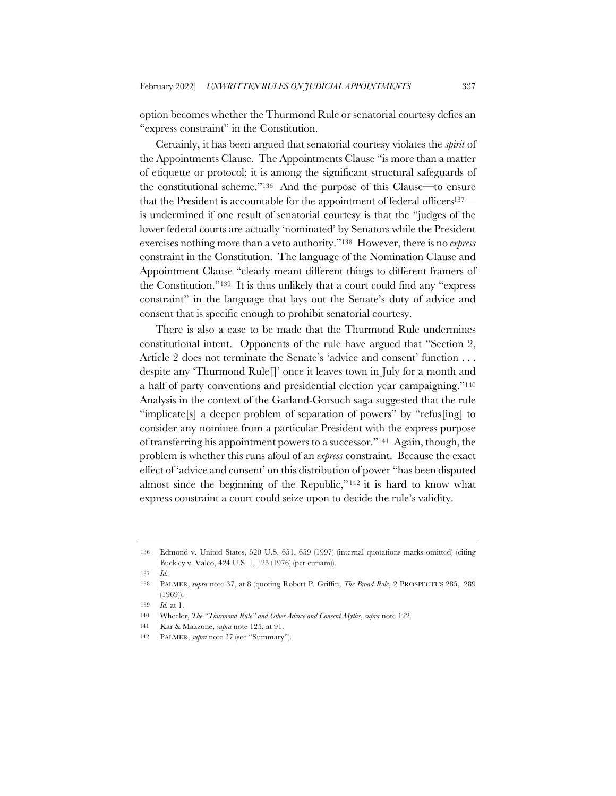option becomes whether the Thurmond Rule or senatorial courtesy defies an "express constraint" in the Constitution.

Certainly, it has been argued that senatorial courtesy violates the *spirit* of the Appointments Clause. The Appointments Clause "is more than a matter of etiquette or protocol; it is among the significant structural safeguards of the constitutional scheme."136 And the purpose of this Clause—to ensure that the President is accountable for the appointment of federal officers137 is undermined if one result of senatorial courtesy is that the "judges of the lower federal courts are actually 'nominated' by Senators while the President exercises nothing more than a veto authority."138 However, there is no *express* constraint in the Constitution. The language of the Nomination Clause and Appointment Clause "clearly meant different things to different framers of the Constitution."139 It is thus unlikely that a court could find any "express constraint" in the language that lays out the Senate's duty of advice and consent that is specific enough to prohibit senatorial courtesy.

There is also a case to be made that the Thurmond Rule undermines constitutional intent. Opponents of the rule have argued that "Section 2, Article 2 does not terminate the Senate's 'advice and consent' function . . . despite any 'Thurmond Rule[]' once it leaves town in July for a month and a half of party conventions and presidential election year campaigning."140 Analysis in the context of the Garland-Gorsuch saga suggested that the rule "implicate[s] a deeper problem of separation of powers" by "refus[ing] to consider any nominee from a particular President with the express purpose of transferring his appointment powers to a successor."141 Again, though, the problem is whether this runs afoul of an *express* constraint. Because the exact effect of 'advice and consent' on this distribution of power "has been disputed almost since the beginning of the Republic,"142 it is hard to know what express constraint a court could seize upon to decide the rule's validity.

<sup>136</sup> Edmond v. United States, 520 U.S. 651, 659 (1997) (internal quotations marks omitted) (citing Buckley v. Valeo, 424 U.S. 1, 125 (1976) (per curiam)).

<sup>137</sup> *Id.*

<sup>138</sup> PALMER, *supra* note 37, at 8 (quoting Robert P. Griffin, *The Broad Role*, 2 PROSPECTUS 285, 289 (1969)).

<sup>139</sup> *Id.* at 1.

<sup>140</sup> Wheeler, *The "Thurmond Rule" and Other Advice and Consent Myths*, *supra* note 122.

<sup>141</sup> Kar & Mazzone, *supra* note 125, at 91.

<sup>142</sup> PALMER, *supra* note 37 (see "Summary").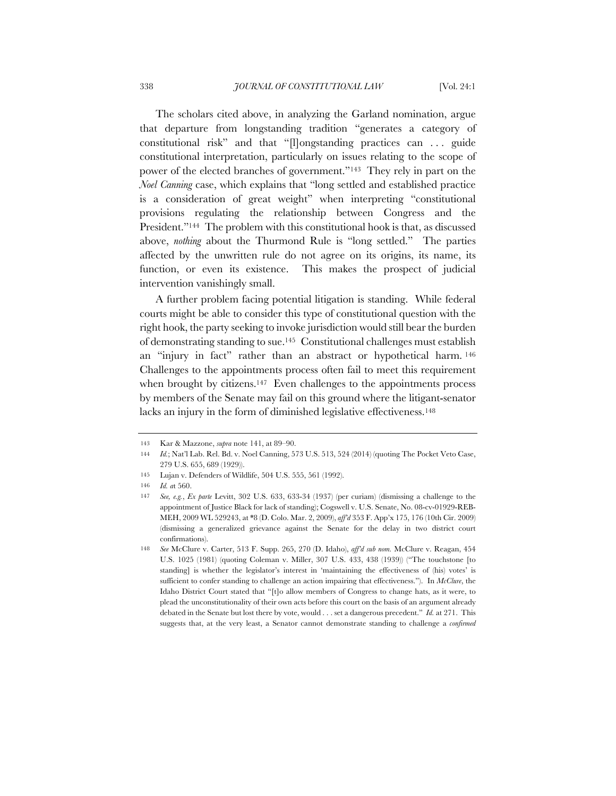The scholars cited above, in analyzing the Garland nomination, argue that departure from longstanding tradition "generates a category of constitutional risk" and that "[l]ongstanding practices can . . . guide constitutional interpretation, particularly on issues relating to the scope of power of the elected branches of government."143 They rely in part on the *Noel Canning* case, which explains that "long settled and established practice is a consideration of great weight" when interpreting "constitutional provisions regulating the relationship between Congress and the President."<sup>144</sup> The problem with this constitutional hook is that, as discussed above, *nothing* about the Thurmond Rule is "long settled." The parties affected by the unwritten rule do not agree on its origins, its name, its function, or even its existence. This makes the prospect of judicial intervention vanishingly small.

A further problem facing potential litigation is standing. While federal courts might be able to consider this type of constitutional question with the right hook, the party seeking to invoke jurisdiction would still bear the burden of demonstrating standing to sue.145 Constitutional challenges must establish an "injury in fact" rather than an abstract or hypothetical harm. 146 Challenges to the appointments process often fail to meet this requirement when brought by citizens.<sup>147</sup> Even challenges to the appointments process by members of the Senate may fail on this ground where the litigant-senator lacks an injury in the form of diminished legislative effectiveness.<sup>148</sup>

<sup>143</sup> Kar & Mazzone, *supra* note 141, at 89–90.

<sup>144</sup> *Id.*; Nat'l Lab. Rel. Bd. v. Noel Canning, 573 U.S. 513, 524 (2014) (quoting The Pocket Veto Case, 279 U.S. 655, 689 (1929)).

<sup>145</sup> Lujan v. Defenders of Wildlife, 504 U.S. 555, 561 (1992).

<sup>146</sup> *Id. a*t 560.

<sup>147</sup> *See, e.g.*, *Ex parte* Levitt, 302 U.S. 633, 633-34 (1937) (per curiam) (dismissing a challenge to the appointment of Justice Black for lack of standing); Cogswell v. U.S. Senate, No. 08-cv-01929-REB-MEH, 2009 WL 529243, at \*8 (D. Colo. Mar. 2, 2009), *aff'd* 353 F. App'x 175, 176 (10th Cir. 2009) (dismissing a generalized grievance against the Senate for the delay in two district court confirmations).

<sup>148</sup> *See* McClure v. Carter, 513 F. Supp. 265, 270 (D. Idaho), *aff'd sub nom.* McClure v. Reagan, 454 U.S. 1025 (1981) (quoting Coleman v. Miller, 307 U.S. 433, 438 (1939)) ("The touchstone [to standing] is whether the legislator's interest in 'maintaining the effectiveness of (his) votes' is sufficient to confer standing to challenge an action impairing that effectiveness."). In *McClure*, the Idaho District Court stated that "[t]o allow members of Congress to change hats, as it were, to plead the unconstitutionality of their own acts before this court on the basis of an argument already debated in the Senate but lost there by vote, would . . . set a dangerous precedent." *Id.* at 271. This suggests that, at the very least, a Senator cannot demonstrate standing to challenge a *confirmed*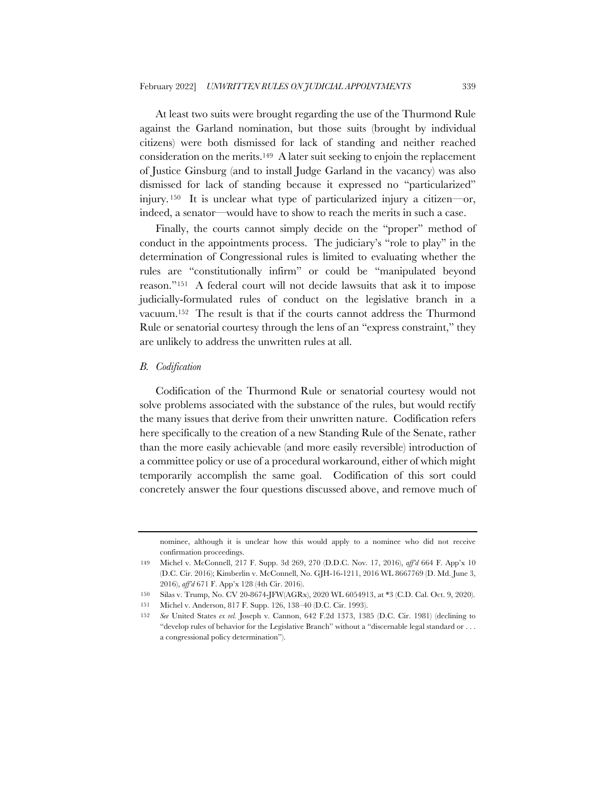At least two suits were brought regarding the use of the Thurmond Rule against the Garland nomination, but those suits (brought by individual citizens) were both dismissed for lack of standing and neither reached consideration on the merits.149 A later suit seeking to enjoin the replacement of Justice Ginsburg (and to install Judge Garland in the vacancy) was also dismissed for lack of standing because it expressed no "particularized" injury. 150 It is unclear what type of particularized injury a citizen—or, indeed, a senator—would have to show to reach the merits in such a case.

Finally, the courts cannot simply decide on the "proper" method of conduct in the appointments process. The judiciary's "role to play" in the determination of Congressional rules is limited to evaluating whether the rules are "constitutionally infirm" or could be "manipulated beyond reason."151 A federal court will not decide lawsuits that ask it to impose judicially-formulated rules of conduct on the legislative branch in a vacuum.152 The result is that if the courts cannot address the Thurmond Rule or senatorial courtesy through the lens of an "express constraint," they are unlikely to address the unwritten rules at all.

#### *B. Codification*

Codification of the Thurmond Rule or senatorial courtesy would not solve problems associated with the substance of the rules, but would rectify the many issues that derive from their unwritten nature. Codification refers here specifically to the creation of a new Standing Rule of the Senate, rather than the more easily achievable (and more easily reversible) introduction of a committee policy or use of a procedural workaround, either of which might temporarily accomplish the same goal. Codification of this sort could concretely answer the four questions discussed above, and remove much of

nominee, although it is unclear how this would apply to a nominee who did not receive confirmation proceedings.

<sup>149</sup> Michel v. McConnell, 217 F. Supp. 3d 269, 270 (D.D.C. Nov. 17, 2016), *aff'd* 664 F. App'x 10 (D.C. Cir. 2016); Kimberlin v. McConnell, No. GJH-16-1211, 2016 WL 8667769 (D. Md. June 3, 2016), *aff'd* 671 F. App'x 128 (4th Cir. 2016).

<sup>150</sup> Silas v. Trump, No. CV 20-8674-JFW(AGRx), 2020 WL 6054913, at \*3 (C.D. Cal. Oct. 9, 2020).

<sup>151</sup> Michel v. Anderson, 817 F. Supp. 126, 138–40 (D.C. Cir. 1993).

<sup>152</sup> *See* United States *ex rel.* Joseph v. Cannon, 642 F.2d 1373, 1385 (D.C. Cir. 1981) (declining to "develop rules of behavior for the Legislative Branch" without a "discernable legal standard or . . . a congressional policy determination").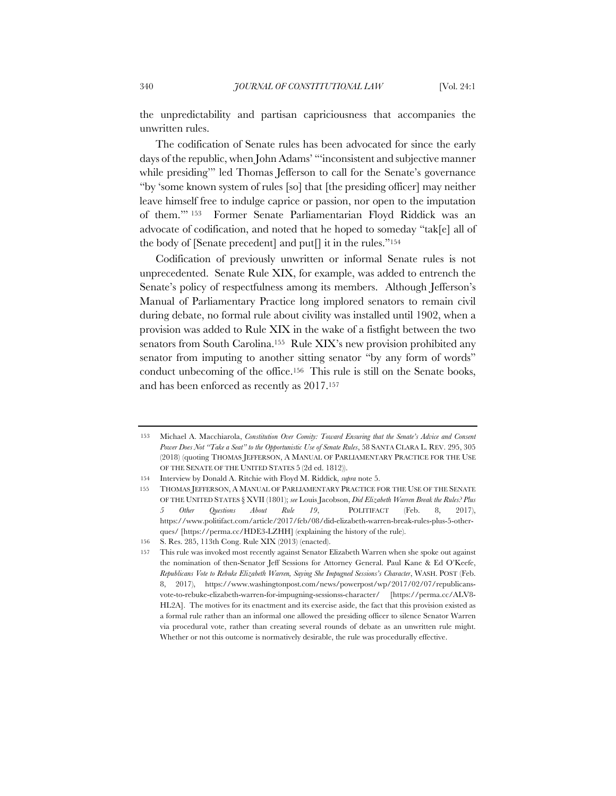the unpredictability and partisan capriciousness that accompanies the unwritten rules.

The codification of Senate rules has been advocated for since the early days of the republic, when John Adams' "'inconsistent and subjective manner while presiding" led Thomas Jefferson to call for the Senate's governance "by 'some known system of rules [so] that [the presiding officer] may neither leave himself free to indulge caprice or passion, nor open to the imputation of them.'" 153 Former Senate Parliamentarian Floyd Riddick was an advocate of codification, and noted that he hoped to someday "tak[e] all of the body of [Senate precedent] and put[] it in the rules."<sup>154</sup>

Codification of previously unwritten or informal Senate rules is not unprecedented. Senate Rule XIX, for example, was added to entrench the Senate's policy of respectfulness among its members. Although Jefferson's Manual of Parliamentary Practice long implored senators to remain civil during debate, no formal rule about civility was installed until 1902, when a provision was added to Rule XIX in the wake of a fistfight between the two senators from South Carolina.<sup>155</sup> Rule XIX's new provision prohibited any senator from imputing to another sitting senator "by any form of words" conduct unbecoming of the office.156 This rule is still on the Senate books, and has been enforced as recently as 2017.157

<sup>153</sup> Michael A. Macchiarola, *Constitution Over Comity: Toward Ensuring that the Senate's Advice and Consent Power Does Not "Take a Seat" to the Opportunistic Use of Senate Rules*, 58 SANTA CLARA L. REV. 295, 305 (2018) (quoting THOMAS JEFFERSON, A MANUAL OF PARLIAMENTARY PRACTICE FOR THE USE OF THE SENATE OF THE UNITED STATES 5 (2d ed. 1812)).

<sup>154</sup> Interview by Donald A. Ritchie with Floyd M. Riddick, *supra* note 5.

<sup>155</sup> THOMAS JEFFERSON, A MANUAL OF PARLIAMENTARY PRACTICE FOR THE USE OF THE SENATE OF THE UNITED STATES § XVII (1801); *see* Louis Jacobson, *Did Elizabeth Warren Break the Rules? Plus 5 Other Questions About Rule 19*, POLITIFACT (Feb. 8, 2017), https://www.politifact.com/article/2017/feb/08/did-elizabeth-warren-break-rules-plus-5-otherques/ [https://perma.cc/HDE3-LZHH] (explaining the history of the rule).

<sup>156</sup> S. Res. 285, 113th Cong. Rule XIX (2013) (enacted).

<sup>157</sup> This rule was invoked most recently against Senator Elizabeth Warren when she spoke out against the nomination of then-Senator Jeff Sessions for Attorney General. Paul Kane & Ed O'Keefe, *Republicans Vote to Rebuke Elizabeth Warren, Saying She Impugned Sessions's Character*, WASH. POST (Feb. 8, 2017), https://www.washingtonpost.com/news/powerpost/wp/2017/02/07/republicansvote-to-rebuke-elizabeth-warren-for-impugning-sessionss-character/ [https://perma.cc/ALV8- HL2A]. The motives for its enactment and its exercise aside, the fact that this provision existed as a formal rule rather than an informal one allowed the presiding officer to silence Senator Warren via procedural vote, rather than creating several rounds of debate as an unwritten rule might. Whether or not this outcome is normatively desirable, the rule was procedurally effective.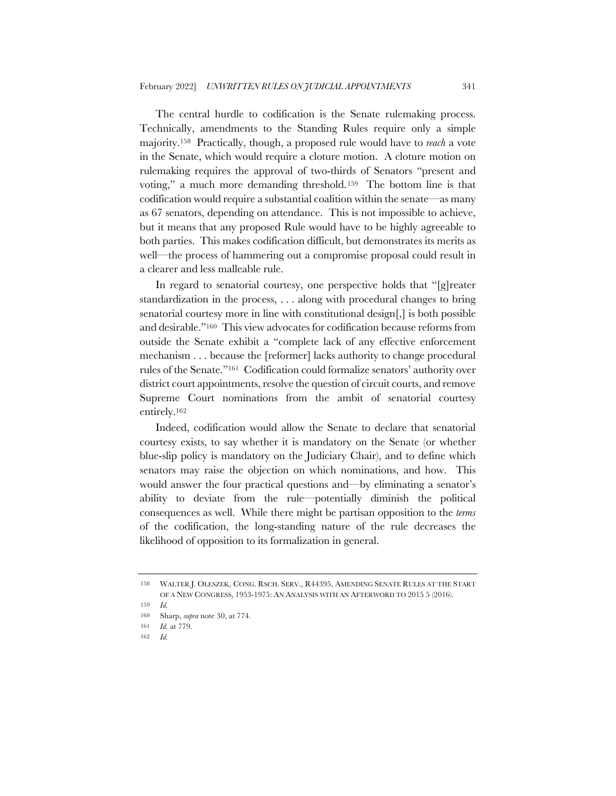The central hurdle to codification is the Senate rulemaking process. Technically, amendments to the Standing Rules require only a simple majority.158 Practically, though, a proposed rule would have to *reach* a vote in the Senate, which would require a cloture motion. A cloture motion on rulemaking requires the approval of two-thirds of Senators "present and voting," a much more demanding threshold.159 The bottom line is that codification would require a substantial coalition within the senate—as many as 67 senators, depending on attendance. This is not impossible to achieve, but it means that any proposed Rule would have to be highly agreeable to both parties. This makes codification difficult, but demonstrates its merits as well—the process of hammering out a compromise proposal could result in a clearer and less malleable rule.

In regard to senatorial courtesy, one perspective holds that "[g]reater standardization in the process, . . . along with procedural changes to bring senatorial courtesy more in line with constitutional design[,] is both possible and desirable."160 This view advocates for codification because reforms from outside the Senate exhibit a "complete lack of any effective enforcement mechanism . . . because the [reformer] lacks authority to change procedural rules of the Senate."161 Codification could formalize senators' authority over district court appointments, resolve the question of circuit courts, and remove Supreme Court nominations from the ambit of senatorial courtesy entirely.162

Indeed, codification would allow the Senate to declare that senatorial courtesy exists, to say whether it is mandatory on the Senate (or whether blue-slip policy is mandatory on the Judiciary Chair), and to define which senators may raise the objection on which nominations, and how. This would answer the four practical questions and—by eliminating a senator's ability to deviate from the rule—potentially diminish the political consequences as well. While there might be partisan opposition to the *terms* of the codification, the long-standing nature of the rule decreases the likelihood of opposition to its formalization in general.

<sup>158</sup> WALTER J. OLESZEK, CONG. RSCH. SERV., R44395, AMENDING SENATE RULES AT THE START OF A NEW CONGRESS, 1953-1975: AN ANALYSIS WITH AN AFTERWORD TO 2015 5 (2016).

<sup>159</sup> *Id.*

<sup>160</sup> Sharp, *supra* note 30, at 774.

<sup>161</sup> *Id.* at 779.

<sup>162</sup> *Id.*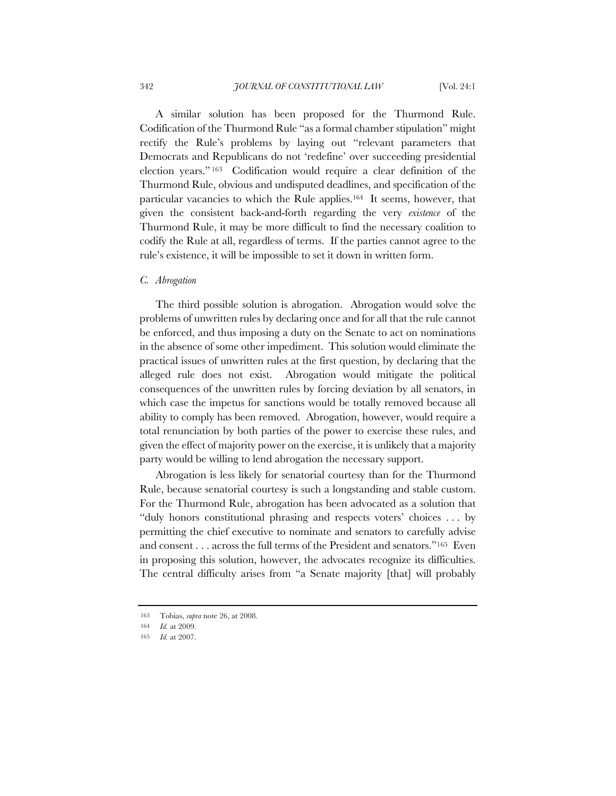A similar solution has been proposed for the Thurmond Rule. Codification of the Thurmond Rule "as a formal chamber stipulation" might rectify the Rule's problems by laying out "relevant parameters that Democrats and Republicans do not 'redefine' over succeeding presidential election years." 163 Codification would require a clear definition of the Thurmond Rule, obvious and undisputed deadlines, and specification of the particular vacancies to which the Rule applies.164 It seems, however, that given the consistent back-and-forth regarding the very *existence* of the Thurmond Rule, it may be more difficult to find the necessary coalition to codify the Rule at all, regardless of terms. If the parties cannot agree to the rule's existence, it will be impossible to set it down in written form.

#### *C. Abrogation*

The third possible solution is abrogation. Abrogation would solve the problems of unwritten rules by declaring once and for all that the rule cannot be enforced, and thus imposing a duty on the Senate to act on nominations in the absence of some other impediment. This solution would eliminate the practical issues of unwritten rules at the first question, by declaring that the alleged rule does not exist. Abrogation would mitigate the political consequences of the unwritten rules by forcing deviation by all senators, in which case the impetus for sanctions would be totally removed because all ability to comply has been removed. Abrogation, however, would require a total renunciation by both parties of the power to exercise these rules, and given the effect of majority power on the exercise, it is unlikely that a majority party would be willing to lend abrogation the necessary support.

Abrogation is less likely for senatorial courtesy than for the Thurmond Rule, because senatorial courtesy is such a longstanding and stable custom. For the Thurmond Rule, abrogation has been advocated as a solution that "duly honors constitutional phrasing and respects voters' choices . . . by permitting the chief executive to nominate and senators to carefully advise and consent . . . across the full terms of the President and senators."165 Even in proposing this solution, however, the advocates recognize its difficulties. The central difficulty arises from "a Senate majority [that] will probably

<sup>163</sup> Tobias, *supra* note 26, at 2008.

<sup>164</sup> *Id.* at 2009.

<sup>165</sup> *Id.* at 2007.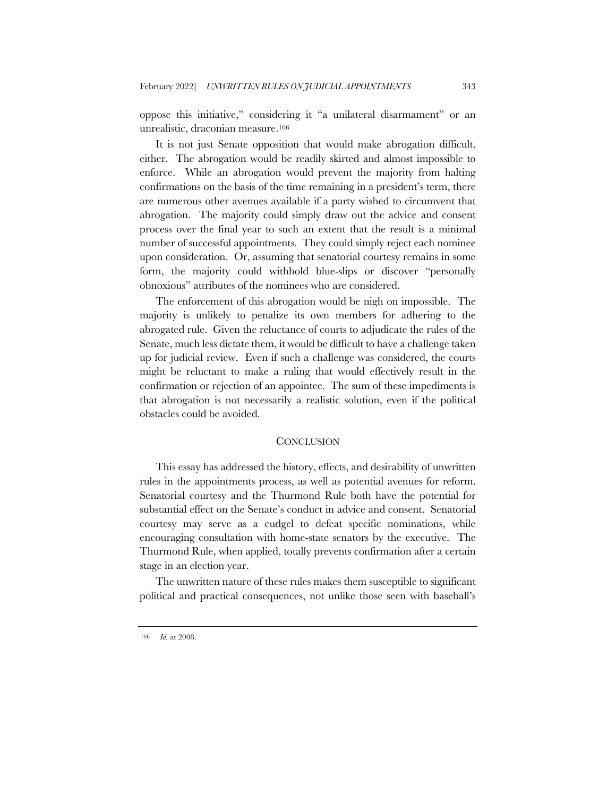oppose this initiative," considering it "a unilateral disarmament" or an unrealistic, draconian measure.166

It is not just Senate opposition that would make abrogation difficult, either. The abrogation would be readily skirted and almost impossible to enforce. While an abrogation would prevent the majority from halting confirmations on the basis of the time remaining in a president's term, there are numerous other avenues available if a party wished to circumvent that abrogation. The majority could simply draw out the advice and consent process over the final year to such an extent that the result is a minimal number of successful appointments. They could simply reject each nominee upon consideration. Or, assuming that senatorial courtesy remains in some form, the majority could withhold blue-slips or discover "personally obnoxious" attributes of the nominees who are considered.

The enforcement of this abrogation would be nigh on impossible. The majority is unlikely to penalize its own members for adhering to the abrogated rule. Given the reluctance of courts to adjudicate the rules of the Senate, much less dictate them, it would be difficult to have a challenge taken up for judicial review. Even if such a challenge was considered, the courts might be reluctant to make a ruling that would effectively result in the confirmation or rejection of an appointee. The sum of these impediments is that abrogation is not necessarily a realistic solution, even if the political obstacles could be avoided.

### **CONCLUSION**

This essay has addressed the history, effects, and desirability of unwritten rules in the appointments process, as well as potential avenues for reform. Senatorial courtesy and the Thurmond Rule both have the potential for substantial effect on the Senate's conduct in advice and consent. Senatorial courtesy may serve as a cudgel to defeat specific nominations, while encouraging consultation with home-state senators by the executive. The Thurmond Rule, when applied, totally prevents confirmation after a certain stage in an election year.

The unwritten nature of these rules makes them susceptible to significant political and practical consequences, not unlike those seen with baseball's

<sup>166</sup> *Id.* at 2008.